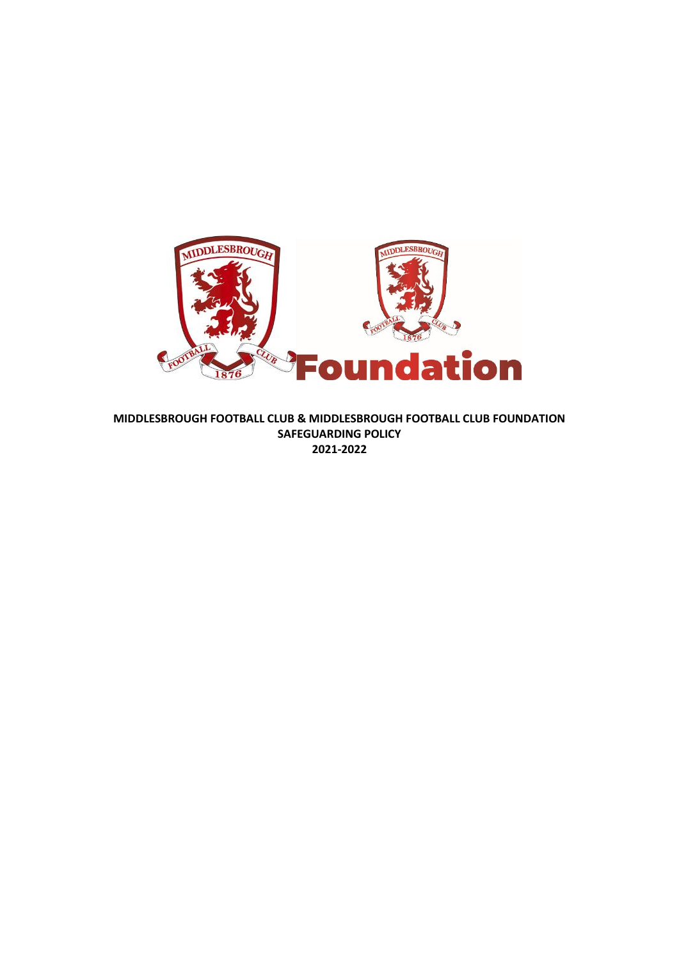

**MIDDLESBROUGH FOOTBALL CLUB & MIDDLESBROUGH FOOTBALL CLUB FOUNDATION SAFEGUARDING POLICY 2021-2022**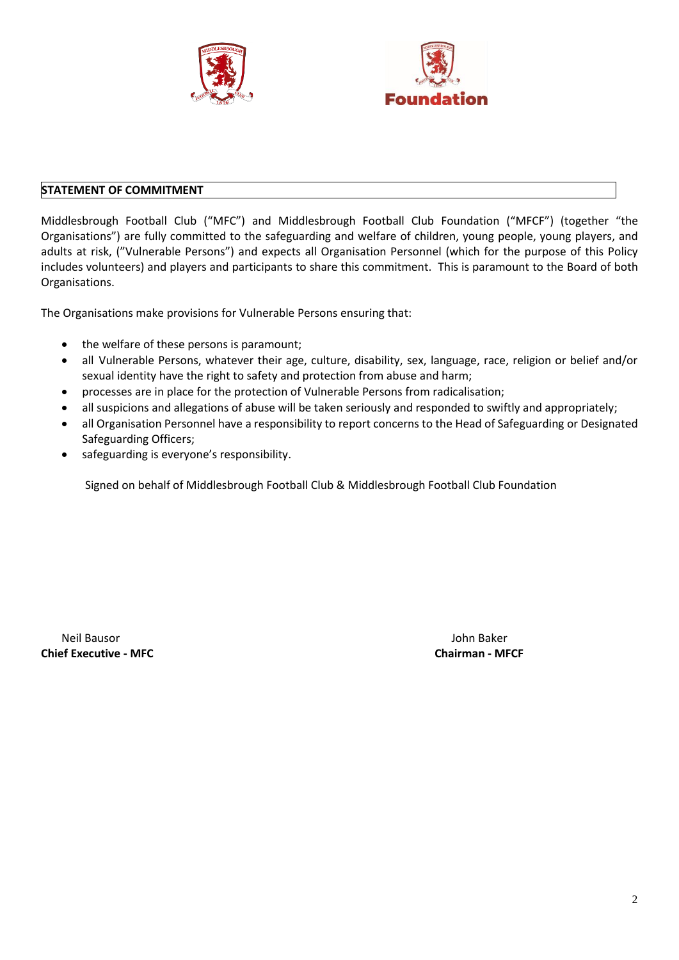



## **STATEMENT OF COMMITMENT**

Middlesbrough Football Club ("MFC") and Middlesbrough Football Club Foundation ("MFCF") (together "the Organisations") are fully committed to the safeguarding and welfare of children, young people, young players, and adults at risk, ("Vulnerable Persons") and expects all Organisation Personnel (which for the purpose of this Policy includes volunteers) and players and participants to share this commitment. This is paramount to the Board of both Organisations.

The Organisations make provisions for Vulnerable Persons ensuring that:

- the welfare of these persons is paramount;
- all Vulnerable Persons, whatever their age, culture, disability, sex, language, race, religion or belief and/or sexual identity have the right to safety and protection from abuse and harm;
- processes are in place for the protection of Vulnerable Persons from radicalisation;
- all suspicions and allegations of abuse will be taken seriously and responded to swiftly and appropriately;
- all Organisation Personnel have a responsibility to report concerns to the Head of Safeguarding or Designated Safeguarding Officers;
- safeguarding is everyone's responsibility.

Signed on behalf of Middlesbrough Football Club & Middlesbrough Football Club Foundation

Neil Bausor John Baker **Chief Executive - MFC Chairman - MFCF**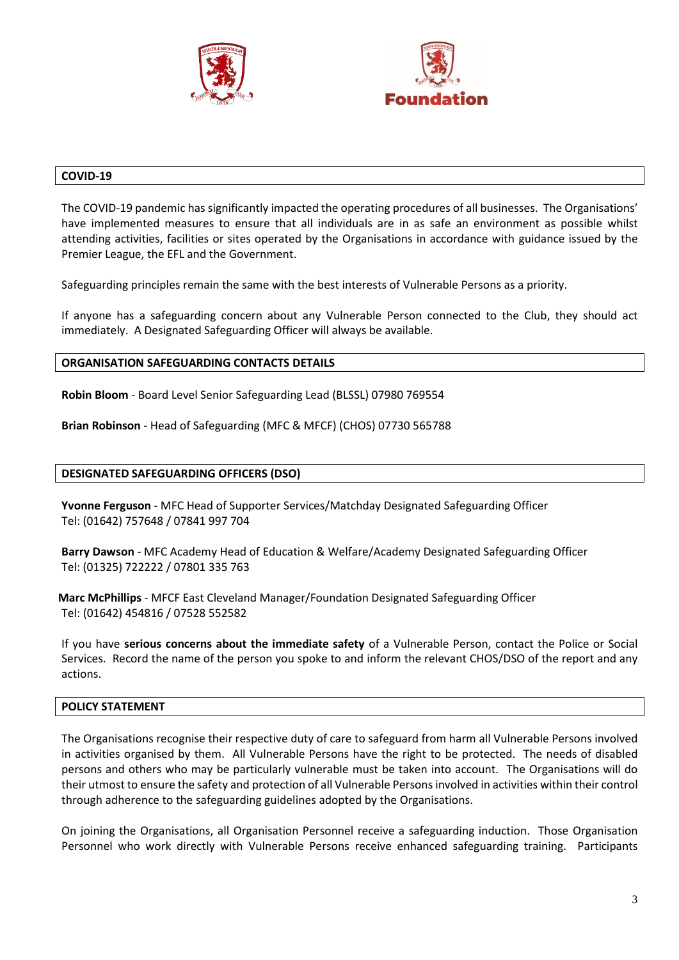



#### **COVID-19**

The COVID-19 pandemic has significantly impacted the operating procedures of all businesses. The Organisations' have implemented measures to ensure that all individuals are in as safe an environment as possible whilst attending activities, facilities or sites operated by the Organisations in accordance with guidance issued by the Premier League, the EFL and the Government.

Safeguarding principles remain the same with the best interests of Vulnerable Persons as a priority.

If anyone has a safeguarding concern about any Vulnerable Person connected to the Club, they should act immediately. A Designated Safeguarding Officer will always be available.

#### **ORGANISATION SAFEGUARDING CONTACTS DETAILS**

**Robin Bloom** - Board Level Senior Safeguarding Lead (BLSSL) 07980 769554

**Brian Robinson** - Head of Safeguarding (MFC & MFCF) (CHOS) 07730 565788

#### **DESIGNATED SAFEGUARDING OFFICERS (DSO)**

**Yvonne Ferguson** - MFC Head of Supporter Services/Matchday Designated Safeguarding Officer Tel: (01642) 757648 / 07841 997 704

**Barry Dawson** - MFC Academy Head of Education & Welfare/Academy Designated Safeguarding Officer Tel: (01325) 722222 / 07801 335 763

 **Marc McPhillips** - MFCF East Cleveland Manager/Foundation Designated Safeguarding Officer Tel: (01642) 454816 / 07528 552582

If you have **serious concerns about the immediate safety** of a Vulnerable Person, contact the Police or Social Services. Record the name of the person you spoke to and inform the relevant CHOS/DSO of the report and any actions.

### **POLICY STATEMENT**

The Organisations recognise their respective duty of care to safeguard from harm all Vulnerable Persons involved in activities organised by them. All Vulnerable Persons have the right to be protected. The needs of disabled persons and others who may be particularly vulnerable must be taken into account. The Organisations will do their utmost to ensure the safety and protection of all Vulnerable Persons involved in activities within their control through adherence to the safeguarding guidelines adopted by the Organisations.

On joining the Organisations, all Organisation Personnel receive a safeguarding induction. Those Organisation Personnel who work directly with Vulnerable Persons receive enhanced safeguarding training. Participants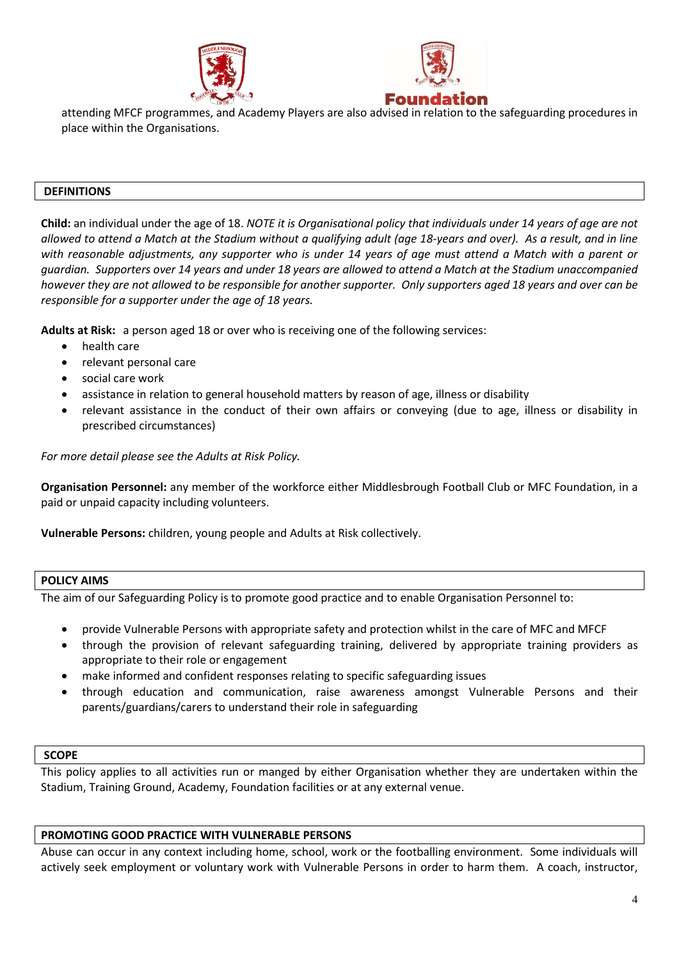



attending MFCF programmes, and Academy Players are also advised in relation to the safeguarding procedures in place within the Organisations.

#### **DEFINITIONS**

**Child:** an individual under the age of 18. *NOTE it is Organisational policy that individuals under 14 years of age are not allowed to attend a Match at the Stadium without a qualifying adult (age 18-years and over). As a result, and in line with reasonable adjustments, any supporter who is under 14 years of age must attend a Match with a parent or guardian. Supporters over 14 years and under 18 years are allowed to attend a Match at the Stadium unaccompanied however they are not allowed to be responsible for another supporter. Only supporters aged 18 years and over can be responsible for a supporter under the age of 18 years.*

**Adults at Risk:** a person aged 18 or over who is receiving one of the following services:

- health care
- relevant personal care
- social care work
- assistance in relation to general household matters by reason of age, illness or disability
- relevant assistance in the conduct of their own affairs or conveying (due to age, illness or disability in prescribed circumstances)

*For more detail please see the Adults at Risk Policy.*

**Organisation Personnel:** any member of the workforce either Middlesbrough Football Club or MFC Foundation, in a paid or unpaid capacity including volunteers.

**Vulnerable Persons:** children, young people and Adults at Risk collectively.

#### **POLICY AIMS**

The aim of our Safeguarding Policy is to promote good practice and to enable Organisation Personnel to:

- provide Vulnerable Persons with appropriate safety and protection whilst in the care of MFC and MFCF
- through the provision of relevant safeguarding training, delivered by appropriate training providers as appropriate to their role or engagement
- make informed and confident responses relating to specific safeguarding issues
- through education and communication, raise awareness amongst Vulnerable Persons and their parents/guardians/carers to understand their role in safeguarding

#### **SCOPE**

This policy applies to all activities run or manged by either Organisation whether they are undertaken within the Stadium, Training Ground, Academy, Foundation facilities or at any external venue.

#### **PROMOTING GOOD PRACTICE WITH VULNERABLE PERSONS**

Abuse can occur in any context including home, school, work or the footballing environment. Some individuals will actively seek employment or voluntary work with Vulnerable Persons in order to harm them. A coach, instructor,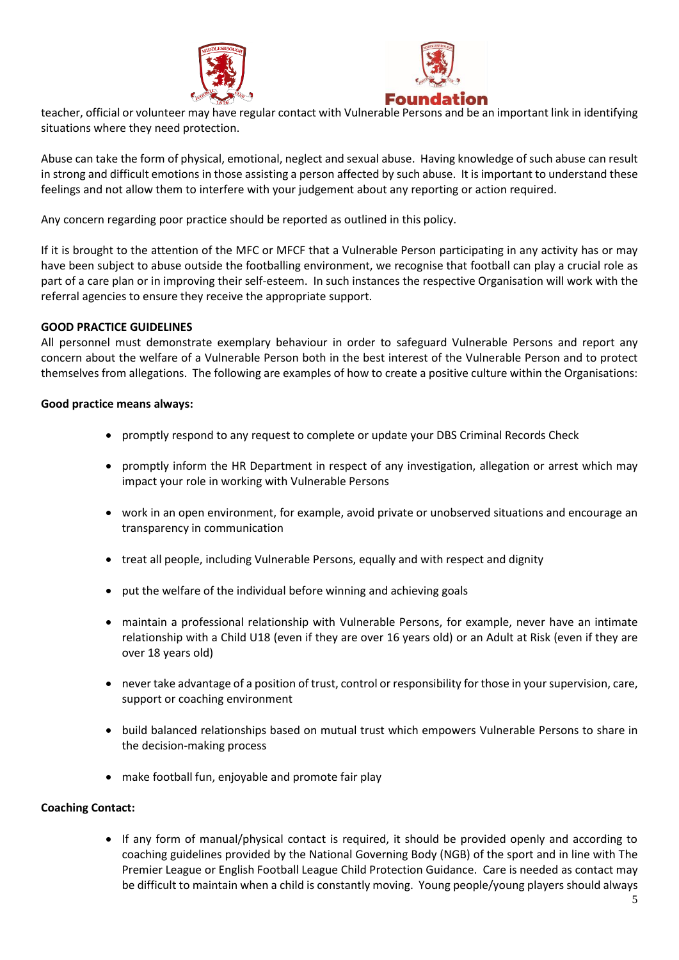



teacher, official or volunteer may have regular contact with Vulnerable Persons and be an important link in identifying situations where they need protection.

Abuse can take the form of physical, emotional, neglect and sexual abuse. Having knowledge of such abuse can result in strong and difficult emotions in those assisting a person affected by such abuse. It is important to understand these feelings and not allow them to interfere with your judgement about any reporting or action required.

Any concern regarding poor practice should be reported as outlined in this policy.

If it is brought to the attention of the MFC or MFCF that a Vulnerable Person participating in any activity has or may have been subject to abuse outside the footballing environment, we recognise that football can play a crucial role as part of a care plan or in improving their self-esteem. In such instances the respective Organisation will work with the referral agencies to ensure they receive the appropriate support.

## **GOOD PRACTICE GUIDELINES**

All personnel must demonstrate exemplary behaviour in order to safeguard Vulnerable Persons and report any concern about the welfare of a Vulnerable Person both in the best interest of the Vulnerable Person and to protect themselves from allegations. The following are examples of how to create a positive culture within the Organisations:

### **Good practice means always:**

- promptly respond to any request to complete or update your DBS Criminal Records Check
- promptly inform the HR Department in respect of any investigation, allegation or arrest which may impact your role in working with Vulnerable Persons
- work in an open environment, for example, avoid private or unobserved situations and encourage an transparency in communication
- treat all people, including Vulnerable Persons, equally and with respect and dignity
- put the welfare of the individual before winning and achieving goals
- maintain a professional relationship with Vulnerable Persons, for example, never have an intimate relationship with a Child U18 (even if they are over 16 years old) or an Adult at Risk (even if they are over 18 years old)
- never take advantage of a position of trust, control or responsibility for those in yoursupervision, care, support or coaching environment
- build balanced relationships based on mutual trust which empowers Vulnerable Persons to share in the decision-making process
- make football fun, enjoyable and promote fair play

### **Coaching Contact:**

• If any form of manual/physical contact is required, it should be provided openly and according to coaching guidelines provided by the National Governing Body (NGB) of the sport and in line with The Premier League or English Football League Child Protection Guidance. Care is needed as contact may be difficult to maintain when a child is constantly moving. Young people/young players should always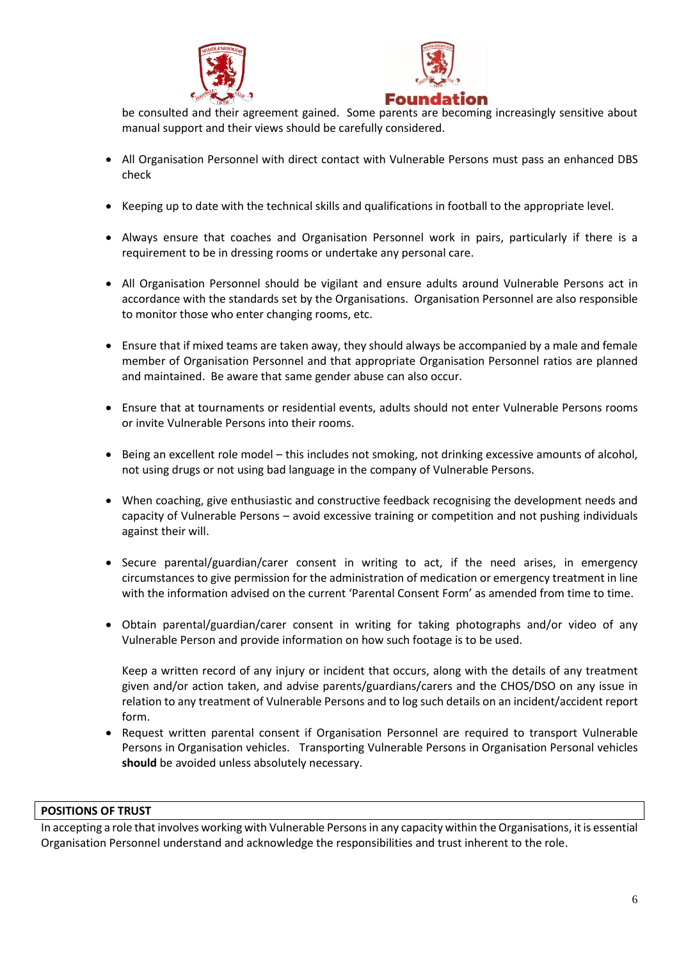



be consulted and their agreement gained. Some parents are becoming increasingly sensitive about manual support and their views should be carefully considered.

- All Organisation Personnel with direct contact with Vulnerable Persons must pass an enhanced DBS check
- Keeping up to date with the technical skills and qualifications in football to the appropriate level.
- Always ensure that coaches and Organisation Personnel work in pairs, particularly if there is a requirement to be in dressing rooms or undertake any personal care.
- All Organisation Personnel should be vigilant and ensure adults around Vulnerable Persons act in accordance with the standards set by the Organisations. Organisation Personnel are also responsible to monitor those who enter changing rooms, etc.
- Ensure that if mixed teams are taken away, they should always be accompanied by a male and female member of Organisation Personnel and that appropriate Organisation Personnel ratios are planned and maintained. Be aware that same gender abuse can also occur.
- Ensure that at tournaments or residential events, adults should not enter Vulnerable Persons rooms or invite Vulnerable Persons into their rooms.
- Being an excellent role model this includes not smoking, not drinking excessive amounts of alcohol, not using drugs or not using bad language in the company of Vulnerable Persons.
- When coaching, give enthusiastic and constructive feedback recognising the development needs and capacity of Vulnerable Persons – avoid excessive training or competition and not pushing individuals against their will.
- Secure parental/guardian/carer consent in writing to act, if the need arises, in emergency circumstances to give permission for the administration of medication or emergency treatment in line with the information advised on the current 'Parental Consent Form' as amended from time to time.
- Obtain parental/guardian/carer consent in writing for taking photographs and/or video of any Vulnerable Person and provide information on how such footage is to be used.

Keep a written record of any injury or incident that occurs, along with the details of any treatment given and/or action taken, and advise parents/guardians/carers and the CHOS/DSO on any issue in relation to any treatment of Vulnerable Persons and to log such details on an incident/accident report form.

• Request written parental consent if Organisation Personnel are required to transport Vulnerable Persons in Organisation vehicles. Transporting Vulnerable Persons in Organisation Personal vehicles **should** be avoided unless absolutely necessary.

### **POSITIONS OF TRUST**

In accepting a role that involves working with Vulnerable Personsin any capacity within the Organisations, it is essential Organisation Personnel understand and acknowledge the responsibilities and trust inherent to the role.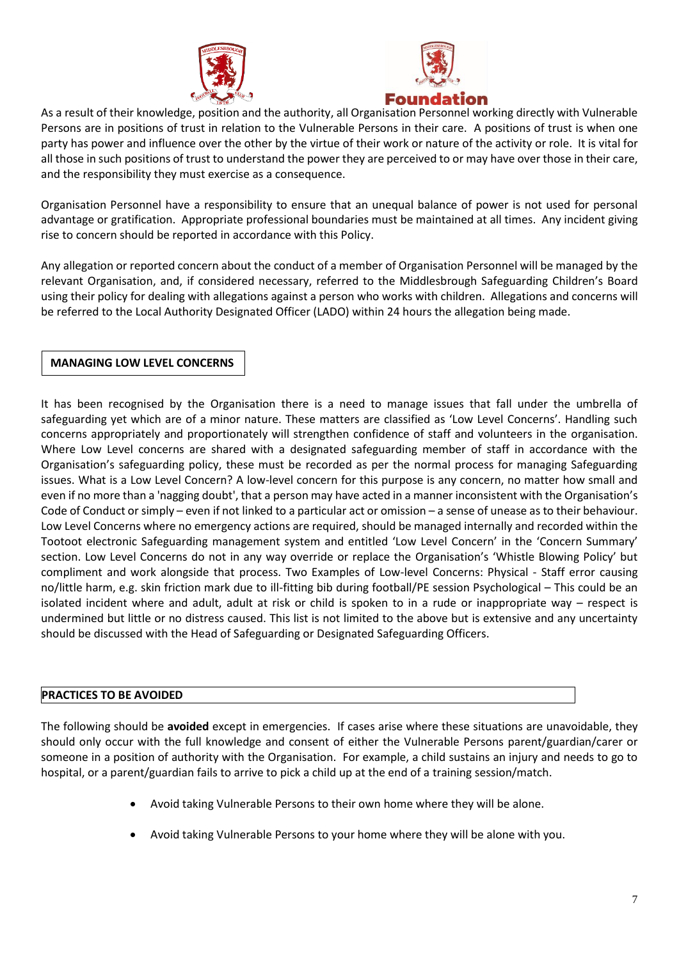



As a result of their knowledge, position and the authority, all Organisation Personnel working directly with Vulnerable Persons are in positions of trust in relation to the Vulnerable Persons in their care. A positions of trust is when one party has power and influence over the other by the virtue of their work or nature of the activity or role. It is vital for all those in such positions of trust to understand the power they are perceived to or may have over those in their care, and the responsibility they must exercise as a consequence.

Organisation Personnel have a responsibility to ensure that an unequal balance of power is not used for personal advantage or gratification. Appropriate professional boundaries must be maintained at all times. Any incident giving rise to concern should be reported in accordance with this Policy.

Any allegation or reported concern about the conduct of a member of Organisation Personnel will be managed by the relevant Organisation, and, if considered necessary, referred to the Middlesbrough Safeguarding Children's Board using their policy for dealing with allegations against a person who works with children. Allegations and concerns will be referred to the Local Authority Designated Officer (LADO) within 24 hours the allegation being made.

# **MANAGING LOW LEVEL CONCERNS**

It has been recognised by the Organisation there is a need to manage issues that fall under the umbrella of safeguarding yet which are of a minor nature. These matters are classified as 'Low Level Concerns'. Handling such concerns appropriately and proportionately will strengthen confidence of staff and volunteers in the organisation. Where Low Level concerns are shared with a designated safeguarding member of staff in accordance with the Organisation's safeguarding policy, these must be recorded as per the normal process for managing Safeguarding issues. What is a Low Level Concern? A low-level concern for this purpose is any concern, no matter how small and even if no more than a 'nagging doubt', that a person may have acted in a manner inconsistent with the Organisation's Code of Conduct or simply – even if not linked to a particular act or omission – a sense of unease as to their behaviour. Low Level Concerns where no emergency actions are required, should be managed internally and recorded within the Tootoot electronic Safeguarding management system and entitled 'Low Level Concern' in the 'Concern Summary' section. Low Level Concerns do not in any way override or replace the Organisation's 'Whistle Blowing Policy' but compliment and work alongside that process. Two Examples of Low-level Concerns: Physical - Staff error causing no/little harm, e.g. skin friction mark due to ill-fitting bib during football/PE session Psychological – This could be an isolated incident where and adult, adult at risk or child is spoken to in a rude or inappropriate way – respect is undermined but little or no distress caused. This list is not limited to the above but is extensive and any uncertainty should be discussed with the Head of Safeguarding or Designated Safeguarding Officers.

# **PRACTICES TO BE AVOIDED**

The following should be **avoided** except in emergencies. If cases arise where these situations are unavoidable, they should only occur with the full knowledge and consent of either the Vulnerable Persons parent/guardian/carer or someone in a position of authority with the Organisation. For example, a child sustains an injury and needs to go to hospital, or a parent/guardian fails to arrive to pick a child up at the end of a training session/match.

- Avoid taking Vulnerable Persons to their own home where they will be alone.
- Avoid taking Vulnerable Persons to your home where they will be alone with you.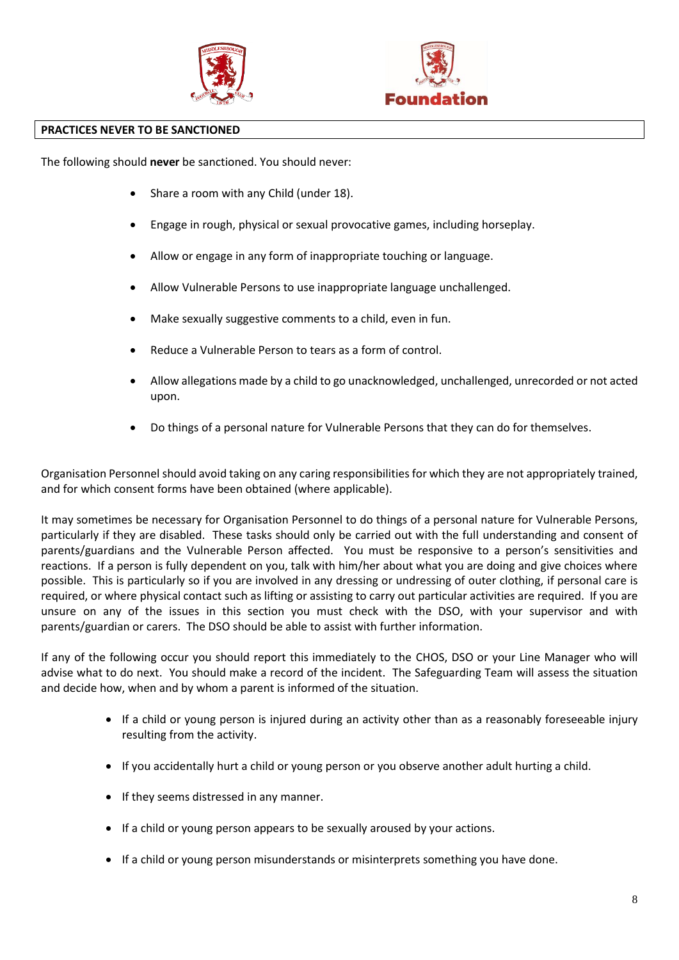



### **PRACTICES NEVER TO BE SANCTIONED**

The following should **never** be sanctioned. You should never:

- Share a room with any Child (under 18).
- Engage in rough, physical or sexual provocative games, including horseplay.
- Allow or engage in any form of inappropriate touching or language.
- Allow Vulnerable Persons to use inappropriate language unchallenged.
- Make sexually suggestive comments to a child, even in fun.
- Reduce a Vulnerable Person to tears as a form of control.
- Allow allegations made by a child to go unacknowledged, unchallenged, unrecorded or not acted upon.
- Do things of a personal nature for Vulnerable Persons that they can do for themselves.

Organisation Personnel should avoid taking on any caring responsibilities for which they are not appropriately trained, and for which consent forms have been obtained (where applicable).

It may sometimes be necessary for Organisation Personnel to do things of a personal nature for Vulnerable Persons, particularly if they are disabled. These tasks should only be carried out with the full understanding and consent of parents/guardians and the Vulnerable Person affected. You must be responsive to a person's sensitivities and reactions. If a person is fully dependent on you, talk with him/her about what you are doing and give choices where possible. This is particularly so if you are involved in any dressing or undressing of outer clothing, if personal care is required, or where physical contact such as lifting or assisting to carry out particular activities are required. If you are unsure on any of the issues in this section you must check with the DSO, with your supervisor and with parents/guardian or carers. The DSO should be able to assist with further information.

If any of the following occur you should report this immediately to the CHOS, DSO or your Line Manager who will advise what to do next. You should make a record of the incident. The Safeguarding Team will assess the situation and decide how, when and by whom a parent is informed of the situation.

- If a child or young person is injured during an activity other than as a reasonably foreseeable injury resulting from the activity.
- If you accidentally hurt a child or young person or you observe another adult hurting a child.
- If they seems distressed in any manner.
- If a child or young person appears to be sexually aroused by your actions.
- If a child or young person misunderstands or misinterprets something you have done.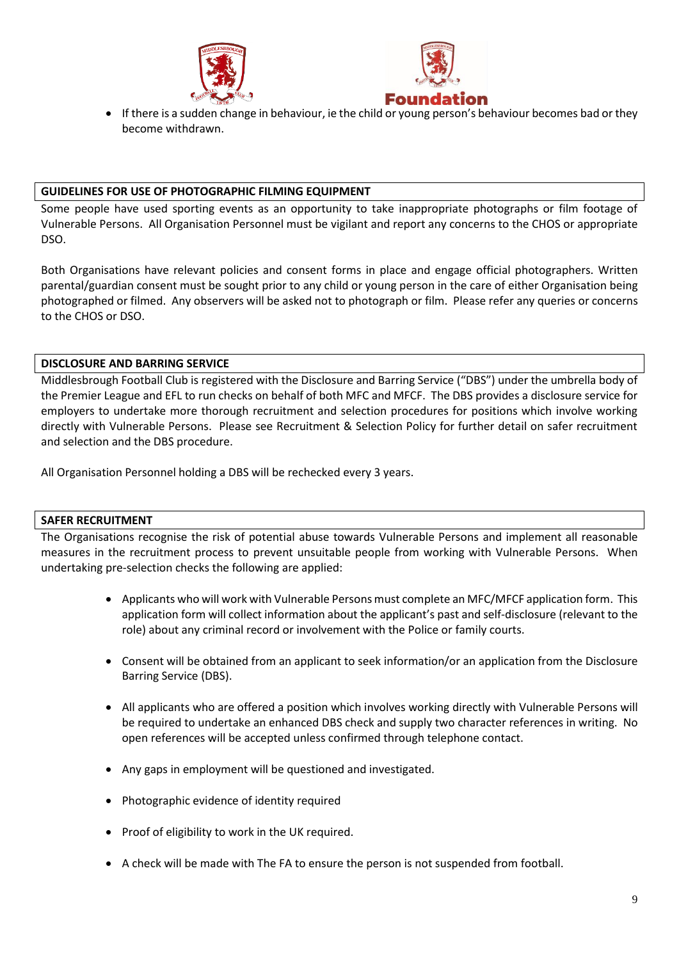



• If there is a sudden change in behaviour, ie the child or young person's behaviour becomes bad or they become withdrawn.

### **GUIDELINES FOR USE OF PHOTOGRAPHIC FILMING EQUIPMENT**

Some people have used sporting events as an opportunity to take inappropriate photographs or film footage of Vulnerable Persons. All Organisation Personnel must be vigilant and report any concerns to the CHOS or appropriate DSO.

Both Organisations have relevant policies and consent forms in place and engage official photographers. Written parental/guardian consent must be sought prior to any child or young person in the care of either Organisation being photographed or filmed. Any observers will be asked not to photograph or film. Please refer any queries or concerns to the CHOS or DSO.

## **DISCLOSURE AND BARRING SERVICE**

Middlesbrough Football Club is registered with the Disclosure and Barring Service ("DBS") under the umbrella body of the Premier League and EFL to run checks on behalf of both MFC and MFCF. The DBS provides a disclosure service for employers to undertake more thorough recruitment and selection procedures for positions which involve working directly with Vulnerable Persons. Please see Recruitment & Selection Policy for further detail on safer recruitment and selection and the DBS procedure.

All Organisation Personnel holding a DBS will be rechecked every 3 years.

### **SAFER RECRUITMENT**

The Organisations recognise the risk of potential abuse towards Vulnerable Persons and implement all reasonable measures in the recruitment process to prevent unsuitable people from working with Vulnerable Persons. When undertaking pre-selection checks the following are applied:

- Applicants who will work with Vulnerable Persons must complete an MFC/MFCF application form. This application form will collect information about the applicant's past and self-disclosure (relevant to the role) about any criminal record or involvement with the Police or family courts.
- Consent will be obtained from an applicant to seek information/or an application from the Disclosure Barring Service (DBS).
- All applicants who are offered a position which involves working directly with Vulnerable Persons will be required to undertake an enhanced DBS check and supply two character references in writing. No open references will be accepted unless confirmed through telephone contact.
- Any gaps in employment will be questioned and investigated.
- Photographic evidence of identity required
- Proof of eligibility to work in the UK required.
- A check will be made with The FA to ensure the person is not suspended from football.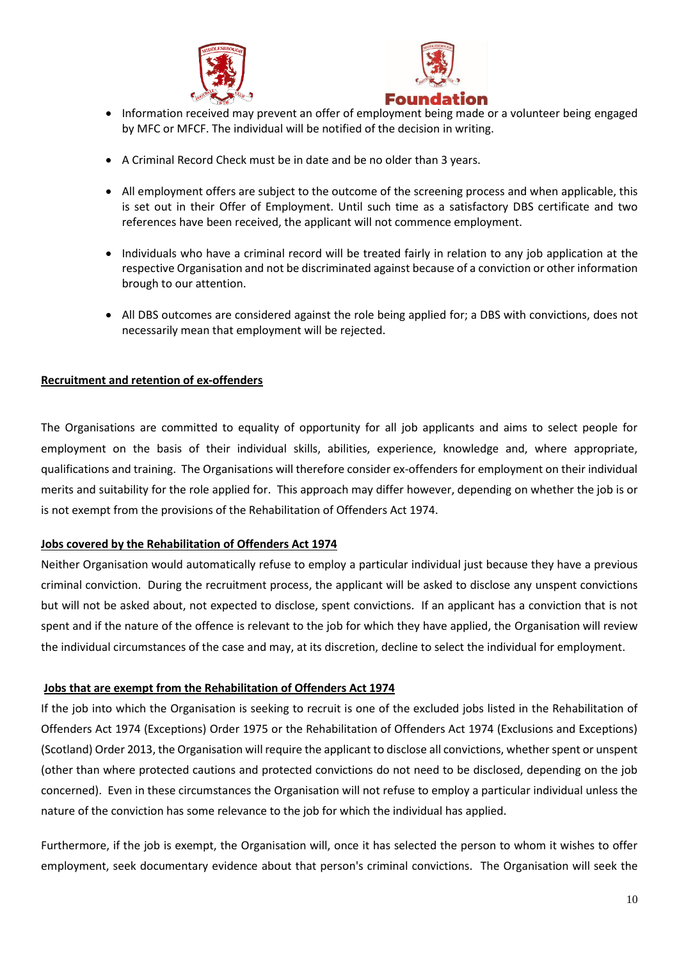



- Information received may prevent an offer of employment being made or a volunteer being engaged by MFC or MFCF. The individual will be notified of the decision in writing.
- A Criminal Record Check must be in date and be no older than 3 years.
- All employment offers are subject to the outcome of the screening process and when applicable, this is set out in their Offer of Employment. Until such time as a satisfactory DBS certificate and two references have been received, the applicant will not commence employment.
- Individuals who have a criminal record will be treated fairly in relation to any job application at the respective Organisation and not be discriminated against because of a conviction or other information brough to our attention.
- All DBS outcomes are considered against the role being applied for; a DBS with convictions, does not necessarily mean that employment will be rejected.

## **Recruitment and retention of ex-offenders**

The Organisations are committed to equality of opportunity for all job applicants and aims to select people for employment on the basis of their individual skills, abilities, experience, knowledge and, where appropriate, qualifications and training. The Organisations will therefore consider ex-offenders for employment on their individual merits and suitability for the role applied for. This approach may differ however, depending on whether the job is or is not exempt from the provisions of the Rehabilitation of Offenders Act 1974.

### **Jobs covered by the Rehabilitation of Offenders Act 1974**

Neither Organisation would automatically refuse to employ a particular individual just because they have a previous criminal conviction. During the recruitment process, the applicant will be asked to disclose any unspent convictions but will not be asked about, not expected to disclose, spent convictions. If an applicant has a conviction that is not spent and if the nature of the offence is relevant to the job for which they have applied, the Organisation will review the individual circumstances of the case and may, at its discretion, decline to select the individual for employment.

### **Jobs that are exempt from the Rehabilitation of Offenders Act 1974**

If the job into which the Organisation is seeking to recruit is one of the excluded jobs listed in the Rehabilitation of Offenders Act 1974 (Exceptions) Order 1975 or the Rehabilitation of Offenders Act 1974 (Exclusions and Exceptions) (Scotland) Order 2013, the Organisation will require the applicant to disclose all convictions, whether spent or unspent (other than where protected cautions and protected convictions do not need to be disclosed, depending on the job concerned). Even in these circumstances the Organisation will not refuse to employ a particular individual unless the nature of the conviction has some relevance to the job for which the individual has applied.

Furthermore, if the job is exempt, the Organisation will, once it has selected the person to whom it wishes to offer employment, seek documentary evidence about that person's criminal convictions. The Organisation will seek the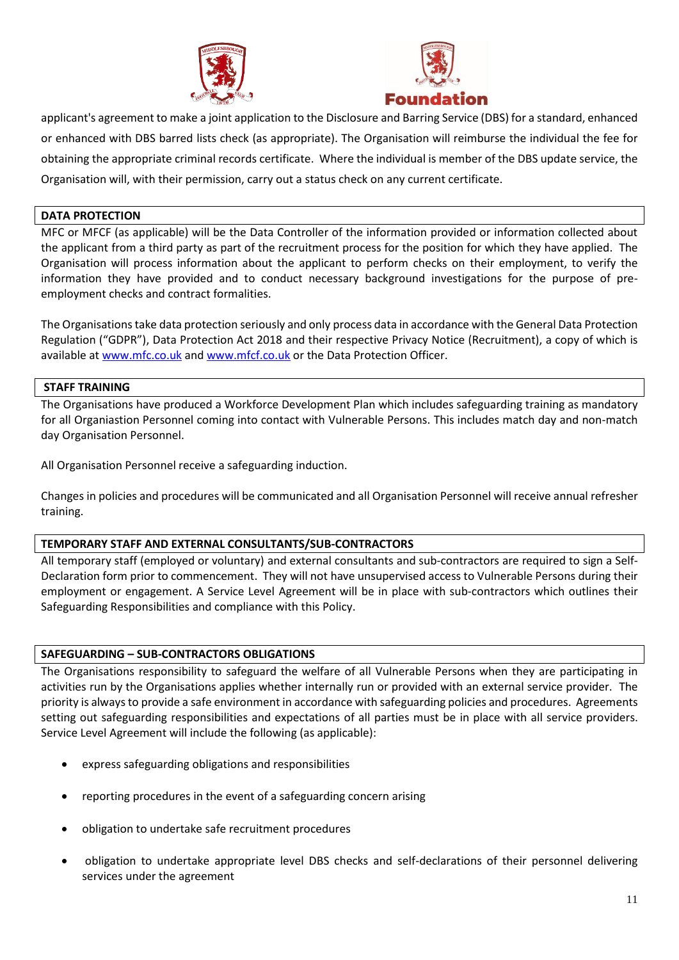



applicant's agreement to make a joint application to the Disclosure and Barring Service (DBS) for a standard, enhanced or enhanced with DBS barred lists check (as appropriate). The Organisation will reimburse the individual the fee for obtaining the appropriate criminal records certificate. Where the individual is member of the DBS update service, the Organisation will, with their permission, carry out a status check on any current certificate.

### **DATA PROTECTION**

MFC or MFCF (as applicable) will be the Data Controller of the information provided or information collected about the applicant from a third party as part of the recruitment process for the position for which they have applied. The Organisation will process information about the applicant to perform checks on their employment, to verify the information they have provided and to conduct necessary background investigations for the purpose of preemployment checks and contract formalities.

The Organisationstake data protection seriously and only process data in accordance with the General Data Protection Regulation ("GDPR"), Data Protection Act 2018 and their respective Privacy Notice (Recruitment), a copy of which is available a[t www.mfc.co.uk](http://www.mfc.co.uk/) and [www.mfcf.co.uk](http://www.mfcf.co.uk/) or the Data Protection Officer.

### **STAFF TRAINING**

The Organisations have produced a Workforce Development Plan which includes safeguarding training as mandatory for all Organiastion Personnel coming into contact with Vulnerable Persons. This includes match day and non-match day Organisation Personnel.

All Organisation Personnel receive a safeguarding induction.

Changes in policies and procedures will be communicated and all Organisation Personnel will receive annual refresher training.

# **TEMPORARY STAFF AND EXTERNAL CONSULTANTS/SUB-CONTRACTORS**

All temporary staff (employed or voluntary) and external consultants and sub-contractors are required to sign a Self-Declaration form prior to commencement. They will not have unsupervised access to Vulnerable Persons during their employment or engagement. A Service Level Agreement will be in place with sub-contractors which outlines their Safeguarding Responsibilities and compliance with this Policy.

# **SAFEGUARDING – SUB-CONTRACTORS OBLIGATIONS**

The Organisations responsibility to safeguard the welfare of all Vulnerable Persons when they are participating in activities run by the Organisations applies whether internally run or provided with an external service provider. The priority is always to provide a safe environment in accordance with safeguarding policies and procedures. Agreements setting out safeguarding responsibilities and expectations of all parties must be in place with all service providers. Service Level Agreement will include the following (as applicable):

- express safeguarding obligations and responsibilities
- reporting procedures in the event of a safeguarding concern arising
- obligation to undertake safe recruitment procedures
- obligation to undertake appropriate level DBS checks and self-declarations of their personnel delivering services under the agreement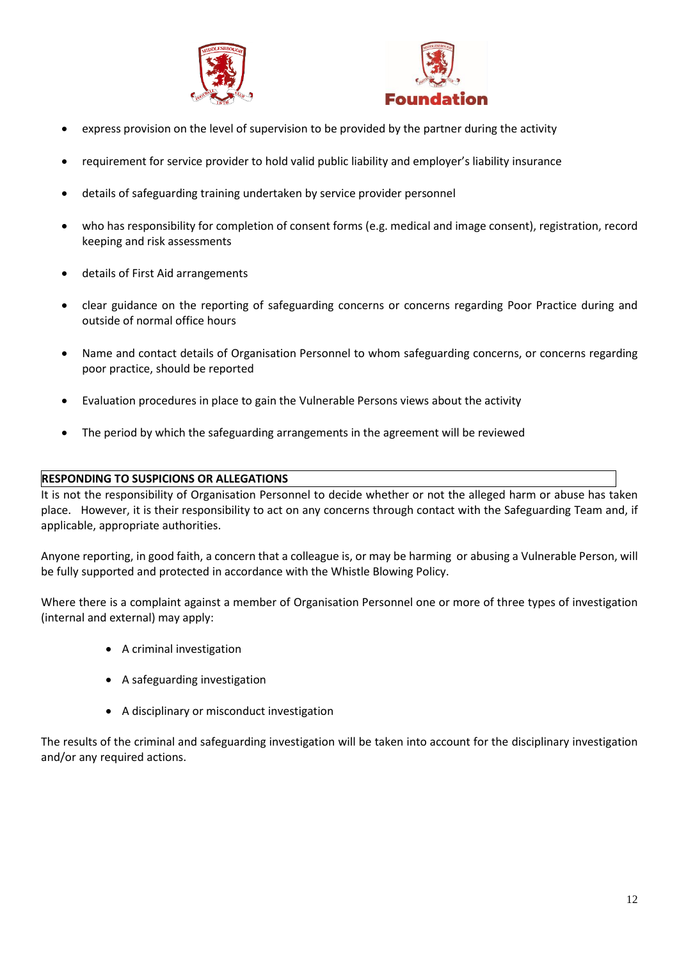



- express provision on the level of supervision to be provided by the partner during the activity
- requirement for service provider to hold valid public liability and employer's liability insurance
- details of safeguarding training undertaken by service provider personnel
- who has responsibility for completion of consent forms (e.g. medical and image consent), registration, record keeping and risk assessments
- details of First Aid arrangements
- clear guidance on the reporting of safeguarding concerns or concerns regarding Poor Practice during and outside of normal office hours
- Name and contact details of Organisation Personnel to whom safeguarding concerns, or concerns regarding poor practice, should be reported
- Evaluation procedures in place to gain the Vulnerable Persons views about the activity
- The period by which the safeguarding arrangements in the agreement will be reviewed

## **RESPONDING TO SUSPICIONS OR ALLEGATIONS**

It is not the responsibility of Organisation Personnel to decide whether or not the alleged harm or abuse has taken place. However, it is their responsibility to act on any concerns through contact with the Safeguarding Team and, if applicable, appropriate authorities.

Anyone reporting, in good faith, a concern that a colleague is, or may be harming or abusing a Vulnerable Person, will be fully supported and protected in accordance with the Whistle Blowing Policy.

Where there is a complaint against a member of Organisation Personnel one or more of three types of investigation (internal and external) may apply:

- A criminal investigation
- A safeguarding investigation
- A disciplinary or misconduct investigation

The results of the criminal and safeguarding investigation will be taken into account for the disciplinary investigation and/or any required actions.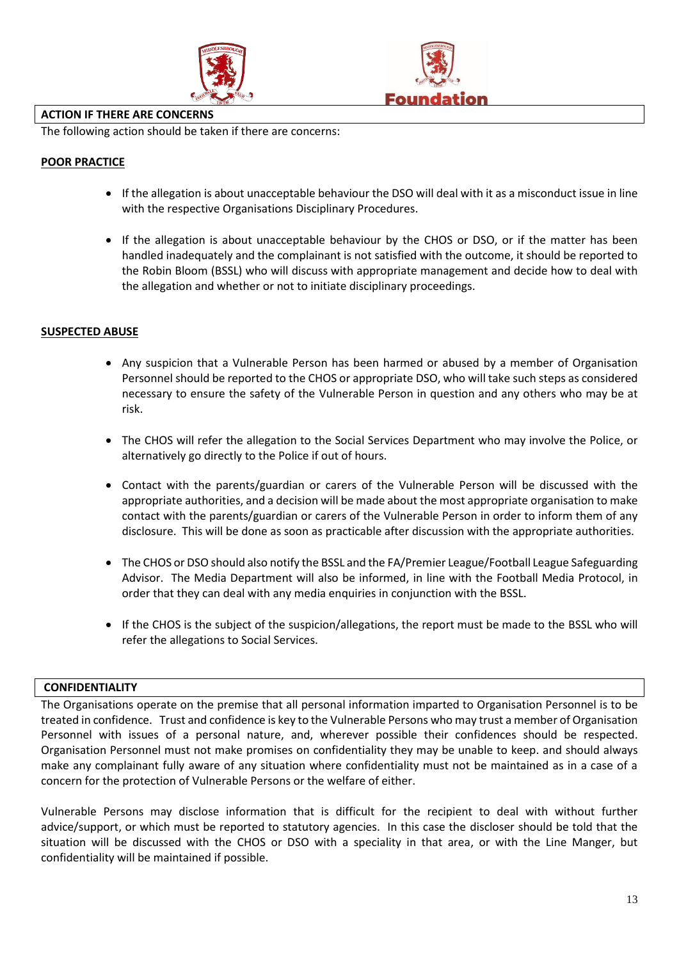



#### **ACTION IF THERE ARE CONCERNS**

The following action should be taken if there are concerns:

## **POOR PRACTICE**

- If the allegation is about unacceptable behaviour the DSO will deal with it as a misconduct issue in line with the respective Organisations Disciplinary Procedures.
- If the allegation is about unacceptable behaviour by the CHOS or DSO, or if the matter has been handled inadequately and the complainant is not satisfied with the outcome, it should be reported to the Robin Bloom (BSSL) who will discuss with appropriate management and decide how to deal with the allegation and whether or not to initiate disciplinary proceedings.

## **SUSPECTED ABUSE**

- Any suspicion that a Vulnerable Person has been harmed or abused by a member of Organisation Personnel should be reported to the CHOS or appropriate DSO, who will take such steps as considered necessary to ensure the safety of the Vulnerable Person in question and any others who may be at risk.
- The CHOS will refer the allegation to the Social Services Department who may involve the Police, or alternatively go directly to the Police if out of hours.
- Contact with the parents/guardian or carers of the Vulnerable Person will be discussed with the appropriate authorities, and a decision will be made about the most appropriate organisation to make contact with the parents/guardian or carers of the Vulnerable Person in order to inform them of any disclosure. This will be done as soon as practicable after discussion with the appropriate authorities.
- The CHOS or DSO should also notify the BSSL and the FA/Premier League/Football League Safeguarding Advisor. The Media Department will also be informed, in line with the Football Media Protocol, in order that they can deal with any media enquiries in conjunction with the BSSL.
- If the CHOS is the subject of the suspicion/allegations, the report must be made to the BSSL who will refer the allegations to Social Services.

### **CONFIDENTIALITY**

The Organisations operate on the premise that all personal information imparted to Organisation Personnel is to be treated in confidence. Trust and confidence is key to the Vulnerable Persons who may trust a member of Organisation Personnel with issues of a personal nature, and, wherever possible their confidences should be respected. Organisation Personnel must not make promises on confidentiality they may be unable to keep. and should always make any complainant fully aware of any situation where confidentiality must not be maintained as in a case of a concern for the protection of Vulnerable Persons or the welfare of either.

Vulnerable Persons may disclose information that is difficult for the recipient to deal with without further advice/support, or which must be reported to statutory agencies. In this case the discloser should be told that the situation will be discussed with the CHOS or DSO with a speciality in that area, or with the Line Manger, but confidentiality will be maintained if possible.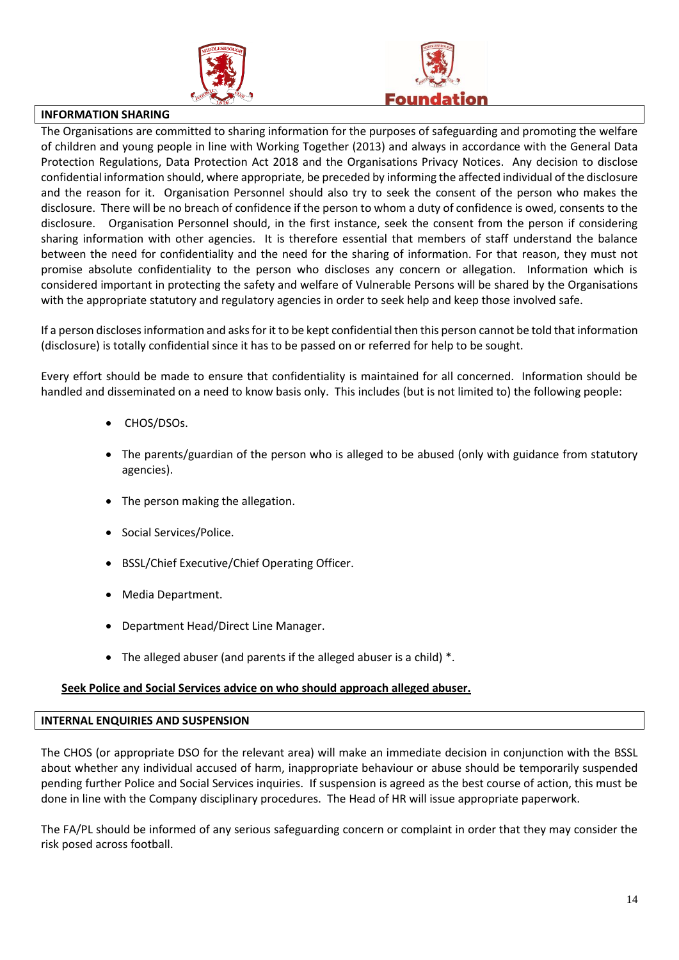



#### **INFORMATION SHARING**

The Organisations are committed to sharing information for the purposes of safeguarding and promoting the welfare of children and young people in line with Working Together (2013) and always in accordance with the General Data Protection Regulations, Data Protection Act 2018 and the Organisations Privacy Notices. Any decision to disclose confidential information should, where appropriate, be preceded by informing the affected individual of the disclosure and the reason for it. Organisation Personnel should also try to seek the consent of the person who makes the disclosure. There will be no breach of confidence if the person to whom a duty of confidence is owed, consents to the disclosure. Organisation Personnel should, in the first instance, seek the consent from the person if considering sharing information with other agencies. It is therefore essential that members of staff understand the balance between the need for confidentiality and the need for the sharing of information. For that reason, they must not promise absolute confidentiality to the person who discloses any concern or allegation. Information which is considered important in protecting the safety and welfare of Vulnerable Persons will be shared by the Organisations with the appropriate statutory and regulatory agencies in order to seek help and keep those involved safe.

If a person discloses information and asks for it to be kept confidential then this person cannot be told that information (disclosure) is totally confidential since it has to be passed on or referred for help to be sought.

Every effort should be made to ensure that confidentiality is maintained for all concerned. Information should be handled and disseminated on a need to know basis only. This includes (but is not limited to) the following people:

- CHOS/DSOs.
- The parents/guardian of the person who is alleged to be abused (only with guidance from statutory agencies).
- The person making the allegation.
- Social Services/Police.
- BSSL/Chief Executive/Chief Operating Officer.
- Media Department.
- Department Head/Direct Line Manager.
- The alleged abuser (and parents if the alleged abuser is a child) \*.

# **Seek Police and Social Services advice on who should approach alleged abuser.**

### **INTERNAL ENQUIRIES AND SUSPENSION**

The CHOS (or appropriate DSO for the relevant area) will make an immediate decision in conjunction with the BSSL about whether any individual accused of harm, inappropriate behaviour or abuse should be temporarily suspended pending further Police and Social Services inquiries. If suspension is agreed as the best course of action, this must be done in line with the Company disciplinary procedures. The Head of HR will issue appropriate paperwork.

The FA/PL should be informed of any serious safeguarding concern or complaint in order that they may consider the risk posed across football.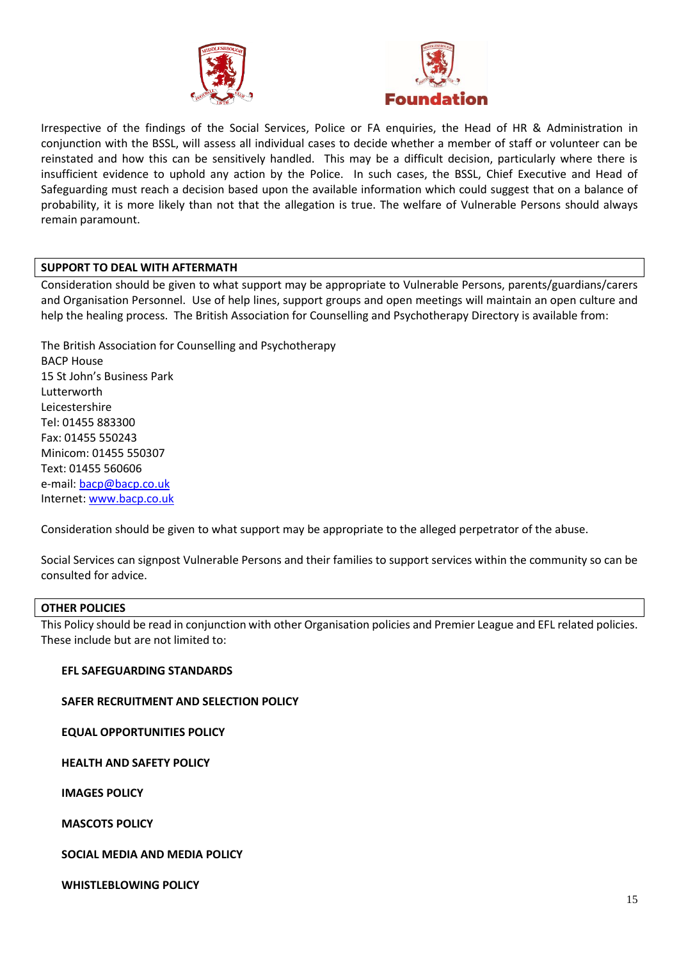



Irrespective of the findings of the Social Services, Police or FA enquiries, the Head of HR & Administration in conjunction with the BSSL, will assess all individual cases to decide whether a member of staff or volunteer can be reinstated and how this can be sensitively handled. This may be a difficult decision, particularly where there is insufficient evidence to uphold any action by the Police. In such cases, the BSSL, Chief Executive and Head of Safeguarding must reach a decision based upon the available information which could suggest that on a balance of probability, it is more likely than not that the allegation is true. The welfare of Vulnerable Persons should always remain paramount.

## **SUPPORT TO DEAL WITH AFTERMATH**

Consideration should be given to what support may be appropriate to Vulnerable Persons, parents/guardians/carers and Organisation Personnel. Use of help lines, support groups and open meetings will maintain an open culture and help the healing process. The British Association for Counselling and Psychotherapy Directory is available from:

The British Association for Counselling and Psychotherapy BACP House 15 St John's Business Park Lutterworth Leicestershire Tel: 01455 883300 Fax: 01455 550243 Minicom: 01455 550307 Text: 01455 560606 e-mail: [bacp@bacp.co.uk](mailto:bacp@bacp.co.uk) Internet: [www.bacp.co.uk](http://www.bacp.co.uk/)

Consideration should be given to what support may be appropriate to the alleged perpetrator of the abuse.

Social Services can signpost Vulnerable Persons and their families to support services within the community so can be consulted for advice.

### **OTHER POLICIES**

This Policy should be read in conjunction with other Organisation policies and Premier League and EFL related policies. These include but are not limited to:

### **EFL SAFEGUARDING STANDARDS**

**SAFER RECRUITMENT AND SELECTION POLICY**

**EQUAL OPPORTUNITIES POLICY**

**HEALTH AND SAFETY POLICY**

**IMAGES POLICY**

**MASCOTS POLICY**

**SOCIAL MEDIA AND MEDIA POLICY**

**WHISTLEBLOWING POLICY**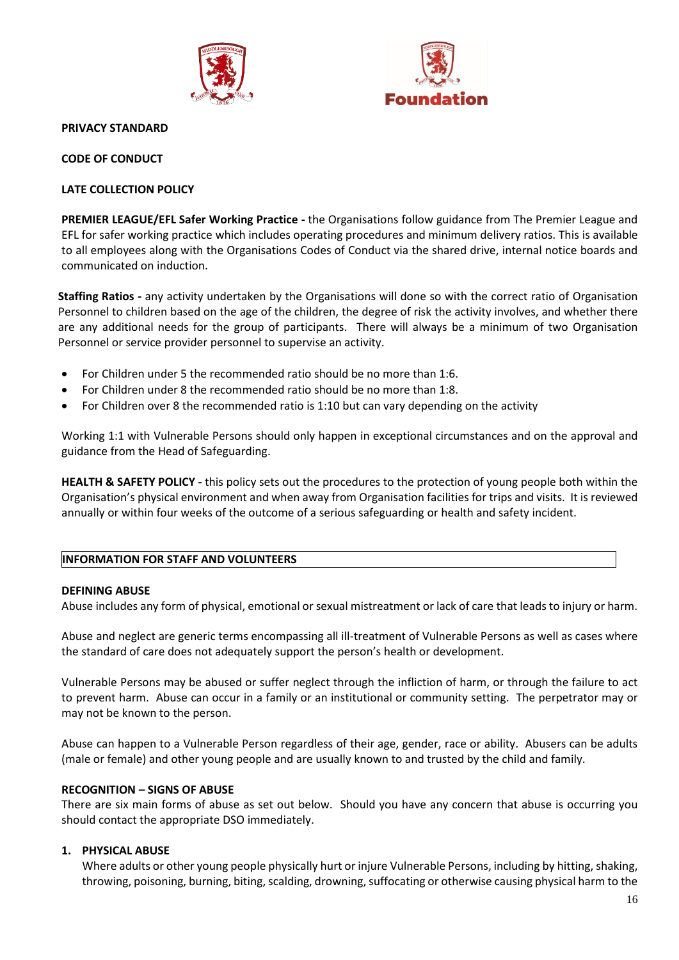



#### **PRIVACY STANDARD**

**CODE OF CONDUCT**

### **LATE COLLECTION POLICY**

**PREMIER LEAGUE/EFL Safer Working Practice -** the Organisations follow guidance from The Premier League and EFL for safer working practice which includes operating procedures and minimum delivery ratios. This is available to all employees along with the Organisations Codes of Conduct via the shared drive, internal notice boards and communicated on induction.

**Staffing Ratios -** any activity undertaken by the Organisations will done so with the correct ratio of Organisation Personnel to children based on the age of the children, the degree of risk the activity involves, and whether there are any additional needs for the group of participants. There will always be a minimum of two Organisation Personnel or service provider personnel to supervise an activity.

- For Children under 5 the recommended ratio should be no more than 1:6.
- For Children under 8 the recommended ratio should be no more than 1:8.
- For Children over 8 the recommended ratio is 1:10 but can vary depending on the activity

Working 1:1 with Vulnerable Persons should only happen in exceptional circumstances and on the approval and guidance from the Head of Safeguarding.

**HEALTH & SAFETY POLICY -** this policy sets out the procedures to the protection of young people both within the Organisation's physical environment and when away from Organisation facilities for trips and visits. It is reviewed annually or within four weeks of the outcome of a serious safeguarding or health and safety incident.

### **INFORMATION FOR STAFF AND VOLUNTEERS**

### **DEFINING ABUSE**

Abuse includes any form of physical, emotional or sexual mistreatment or lack of care that leads to injury or harm.

Abuse and neglect are generic terms encompassing all ill-treatment of Vulnerable Persons as well as cases where the standard of care does not adequately support the person's health or development.

Vulnerable Persons may be abused or suffer neglect through the infliction of harm, or through the failure to act to prevent harm. Abuse can occur in a family or an institutional or community setting. The perpetrator may or may not be known to the person.

Abuse can happen to a Vulnerable Person regardless of their age, gender, race or ability. Abusers can be adults (male or female) and other young people and are usually known to and trusted by the child and family.

### **RECOGNITION – SIGNS OF ABUSE**

There are six main forms of abuse as set out below. Should you have any concern that abuse is occurring you should contact the appropriate DSO immediately.

## **1. PHYSICAL ABUSE**

Where adults or other young people physically hurt or injure Vulnerable Persons, including by hitting, shaking, throwing, poisoning, burning, biting, scalding, drowning, suffocating or otherwise causing physical harm to the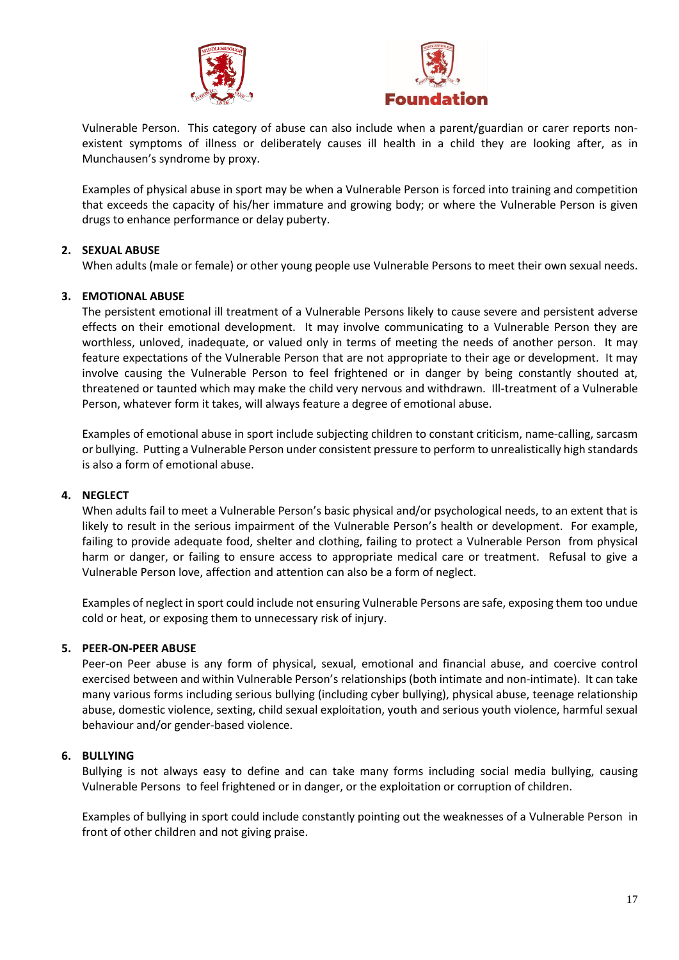



Vulnerable Person. This category of abuse can also include when a parent/guardian or carer reports nonexistent symptoms of illness or deliberately causes ill health in a child they are looking after, as in Munchausen's syndrome by proxy.

Examples of physical abuse in sport may be when a Vulnerable Person is forced into training and competition that exceeds the capacity of his/her immature and growing body; or where the Vulnerable Person is given drugs to enhance performance or delay puberty.

# **2. SEXUAL ABUSE**

When adults (male or female) or other young people use Vulnerable Persons to meet their own sexual needs.

## **3. EMOTIONAL ABUSE**

The persistent emotional ill treatment of a Vulnerable Persons likely to cause severe and persistent adverse effects on their emotional development. It may involve communicating to a Vulnerable Person they are worthless, unloved, inadequate, or valued only in terms of meeting the needs of another person. It may feature expectations of the Vulnerable Person that are not appropriate to their age or development. It may involve causing the Vulnerable Person to feel frightened or in danger by being constantly shouted at, threatened or taunted which may make the child very nervous and withdrawn. Ill-treatment of a Vulnerable Person, whatever form it takes, will always feature a degree of emotional abuse.

Examples of emotional abuse in sport include subjecting children to constant criticism, name-calling, sarcasm or bullying. Putting a Vulnerable Person under consistent pressure to perform to unrealistically high standards is also a form of emotional abuse.

### **4. NEGLECT**

When adults fail to meet a Vulnerable Person's basic physical and/or psychological needs, to an extent that is likely to result in the serious impairment of the Vulnerable Person's health or development. For example, failing to provide adequate food, shelter and clothing, failing to protect a Vulnerable Person from physical harm or danger, or failing to ensure access to appropriate medical care or treatment. Refusal to give a Vulnerable Person love, affection and attention can also be a form of neglect.

Examples of neglect in sport could include not ensuring Vulnerable Persons are safe, exposing them too undue cold or heat, or exposing them to unnecessary risk of injury.

### **5. PEER-ON-PEER ABUSE**

Peer-on Peer abuse is any form of physical, sexual, emotional and financial abuse, and coercive control exercised between and within Vulnerable Person's relationships (both intimate and non-intimate). It can take many various forms including serious bullying (including cyber bullying), physical abuse, teenage relationship abuse, domestic violence, sexting, child sexual exploitation, youth and serious youth violence, harmful sexual behaviour and/or gender-based violence.

### **6. BULLYING**

Bullying is not always easy to define and can take many forms including social media bullying, causing Vulnerable Persons to feel frightened or in danger, or the exploitation or corruption of children.

Examples of bullying in sport could include constantly pointing out the weaknesses of a Vulnerable Person in front of other children and not giving praise.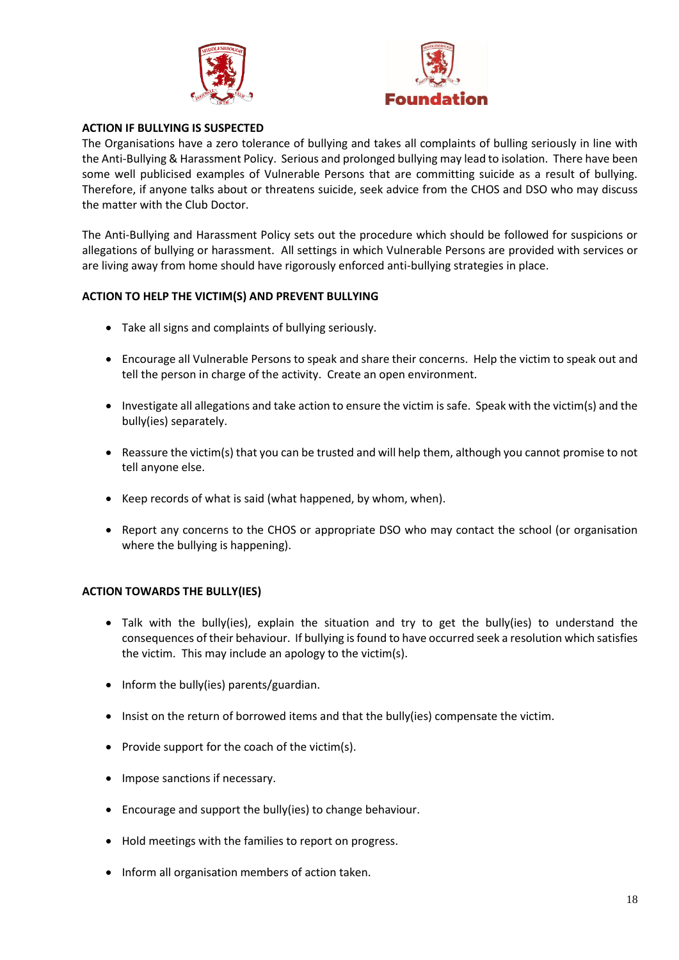



### **ACTION IF BULLYING IS SUSPECTED**

The Organisations have a zero tolerance of bullying and takes all complaints of bulling seriously in line with the Anti-Bullying & Harassment Policy. Serious and prolonged bullying may lead to isolation.There have been some well publicised examples of Vulnerable Persons that are committing suicide as a result of bullying. Therefore, if anyone talks about or threatens suicide, seek advice from the CHOS and DSO who may discuss the matter with the Club Doctor.

The Anti-Bullying and Harassment Policy sets out the procedure which should be followed for suspicions or allegations of bullying or harassment. All settings in which Vulnerable Persons are provided with services or are living away from home should have rigorously enforced anti-bullying strategies in place.

## **ACTION TO HELP THE VICTIM(S) AND PREVENT BULLYING**

- Take all signs and complaints of bullying seriously.
- Encourage all Vulnerable Persons to speak and share their concerns. Help the victim to speak out and tell the person in charge of the activity. Create an open environment.
- Investigate all allegations and take action to ensure the victim is safe. Speak with the victim(s) and the bully(ies) separately.
- Reassure the victim(s) that you can be trusted and will help them, although you cannot promise to not tell anyone else.
- Keep records of what is said (what happened, by whom, when).
- Report any concerns to the CHOS or appropriate DSO who may contact the school (or organisation where the bullying is happening).

### **ACTION TOWARDS THE BULLY(IES)**

- Talk with the bully(ies), explain the situation and try to get the bully(ies) to understand the consequences of their behaviour. If bullying is found to have occurred seek a resolution which satisfies the victim. This may include an apology to the victim(s).
- Inform the bully(ies) parents/guardian.
- Insist on the return of borrowed items and that the bully(ies) compensate the victim.
- Provide support for the coach of the victim(s).
- Impose sanctions if necessary.
- Encourage and support the bully(ies) to change behaviour.
- Hold meetings with the families to report on progress.
- Inform all organisation members of action taken.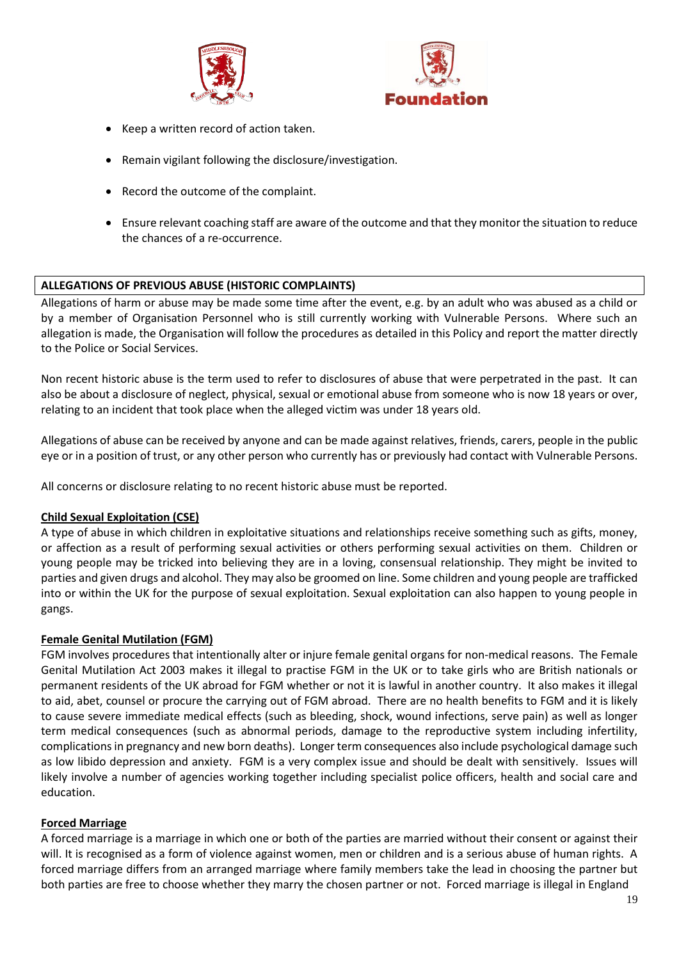



- Keep a written record of action taken.
- Remain vigilant following the disclosure/investigation.
- Record the outcome of the complaint.
- Ensure relevant coaching staff are aware of the outcome and that they monitor the situation to reduce the chances of a re-occurrence.

# **ALLEGATIONS OF PREVIOUS ABUSE (HISTORIC COMPLAINTS)**

Allegations of harm or abuse may be made some time after the event, e.g. by an adult who was abused as a child or by a member of Organisation Personnel who is still currently working with Vulnerable Persons. Where such an allegation is made, the Organisation will follow the procedures as detailed in this Policy and report the matter directly to the Police or Social Services.

Non recent historic abuse is the term used to refer to disclosures of abuse that were perpetrated in the past. It can also be about a disclosure of neglect, physical, sexual or emotional abuse from someone who is now 18 years or over, relating to an incident that took place when the alleged victim was under 18 years old.

Allegations of abuse can be received by anyone and can be made against relatives, friends, carers, people in the public eye or in a position of trust, or any other person who currently has or previously had contact with Vulnerable Persons.

All concerns or disclosure relating to no recent historic abuse must be reported.

### **Child Sexual Exploitation (CSE)**

A type of abuse in which children in exploitative situations and relationships receive something such as gifts, money, or affection as a result of performing sexual activities or others performing sexual activities on them. Children or young people may be tricked into believing they are in a loving, consensual relationship. They might be invited to parties and given drugs and alcohol. They may also be groomed on line. Some children and young people are trafficked into or within the UK for the purpose of sexual exploitation. Sexual exploitation can also happen to young people in gangs.

### **Female Genital Mutilation (FGM)**

FGM involves procedures that intentionally alter or injure female genital organs for non-medical reasons. The Female Genital Mutilation Act 2003 makes it illegal to practise FGM in the UK or to take girls who are British nationals or permanent residents of the UK abroad for FGM whether or not it is lawful in another country. It also makes it illegal to aid, abet, counsel or procure the carrying out of FGM abroad. There are no health benefits to FGM and it is likely to cause severe immediate medical effects (such as bleeding, shock, wound infections, serve pain) as well as longer term medical consequences (such as abnormal periods, damage to the reproductive system including infertility, complications in pregnancy and new born deaths). Longer term consequences also include psychological damage such as low libido depression and anxiety. FGM is a very complex issue and should be dealt with sensitively. Issues will likely involve a number of agencies working together including specialist police officers, health and social care and education.

### **Forced Marriage**

A forced marriage is a marriage in which one or both of the parties are married without their consent or against their will. It is recognised as a form of violence against women, men or children and is a serious abuse of human rights. A forced marriage differs from an arranged marriage where family members take the lead in choosing the partner but both parties are free to choose whether they marry the chosen partner or not. Forced marriage is illegal in England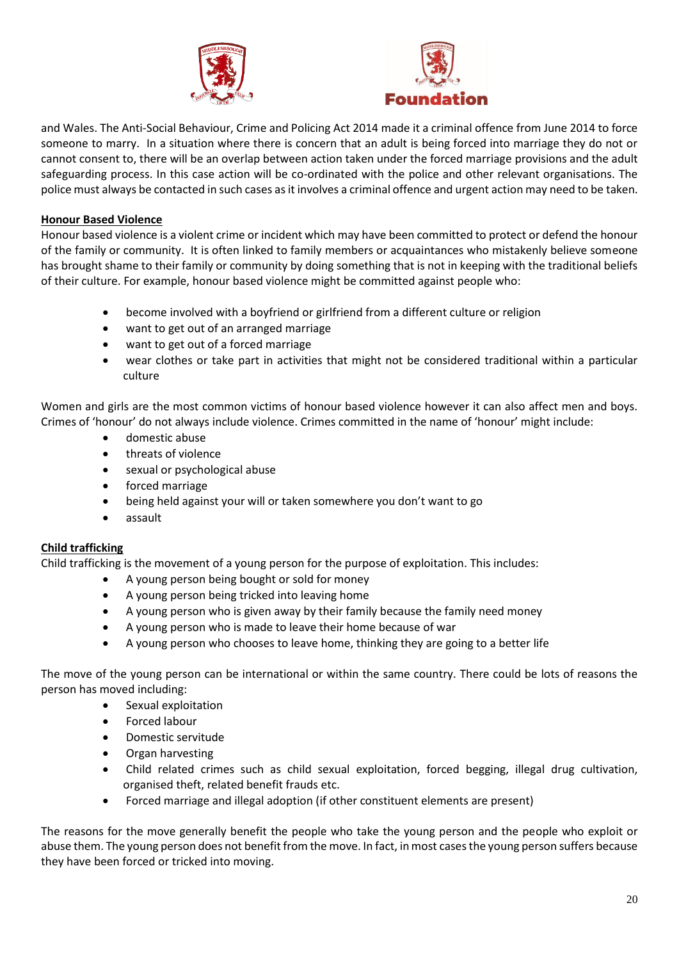



and Wales. The Anti-Social Behaviour, Crime and Policing Act 2014 made it a criminal offence from June 2014 to force someone to marry. In a situation where there is concern that an adult is being forced into marriage they do not or cannot consent to, there will be an overlap between action taken under the forced marriage provisions and the adult safeguarding process. In this case action will be co-ordinated with the police and other relevant organisations. The police must always be contacted in such cases as it involves a criminal offence and urgent action may need to be taken.

# **Honour Based Violence**

Honour based violence is a violent crime or incident which may have been committed to protect or defend the honour of the family or community. It is often linked to family members or acquaintances who mistakenly believe someone has brought shame to their family or community by doing something that is not in keeping with the traditional beliefs of their culture. For example, honour based violence might be committed against people who:

- become involved with a boyfriend or girlfriend from a different culture or religion
- want to get out of an arranged marriage
- want to get out of a forced marriage
- wear clothes or take part in activities that might not be considered traditional within a particular culture

Women and girls are the most common victims of honour based violence however it can also affect men and boys. Crimes of 'honour' do not always include violence. Crimes committed in the name of 'honour' might include:

- domestic abuse
- threats of violence
- sexual or psychological abuse
- forced marriage
- being held against your will or taken somewhere you don't want to go
- assault

# **Child trafficking**

Child trafficking is the movement of a young person for the purpose of exploitation. This includes:

- A young person being bought or sold for money
- A young person being tricked into leaving home
- A young person who is given away by their family because the family need money
- A young person who is made to leave their home because of war
- A young person who chooses to leave home, thinking they are going to a better life

The move of the young person can be international or within the same country. There could be lots of reasons the person has moved including:

- Sexual exploitation
- Forced labour
- Domestic servitude
- Organ harvesting
- Child related crimes such as child sexual exploitation, forced begging, illegal drug cultivation, organised theft, related benefit frauds etc.
- Forced marriage and illegal adoption (if other constituent elements are present)

The reasons for the move generally benefit the people who take the young person and the people who exploit or abuse them. The young person does not benefit from the move. In fact, in most cases the young person suffers because they have been forced or tricked into moving.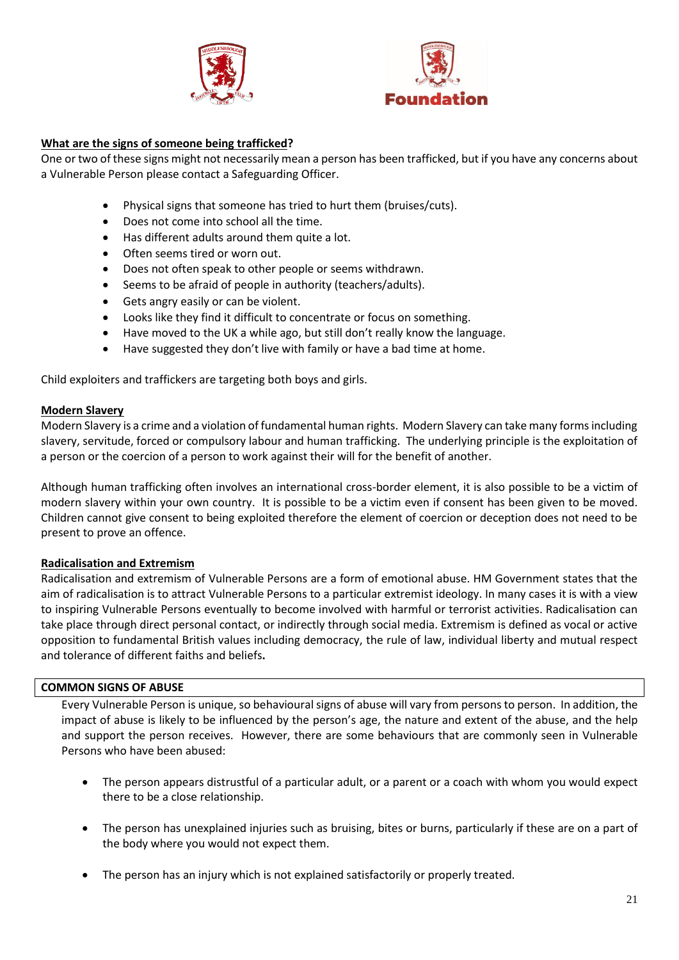



# **What are the signs of someone being trafficked?**

One or two of these signs might not necessarily mean a person has been trafficked, but if you have any concerns about a Vulnerable Person please contact a Safeguarding Officer.

- Physical signs that someone has tried to hurt them (bruises/cuts).
- Does not come into school all the time.
- Has different adults around them quite a lot.
- Often seems tired or worn out.
- Does not often speak to other people or seems withdrawn.
- Seems to be afraid of people in authority (teachers/adults).
- Gets angry easily or can be violent.
- Looks like they find it difficult to concentrate or focus on something.
- Have moved to the UK a while ago, but still don't really know the language.
- Have suggested they don't live with family or have a bad time at home.

Child exploiters and traffickers are targeting both boys and girls.

## **Modern Slavery**

Modern Slavery is a crime and a violation of fundamental human rights. Modern Slavery can take many forms including slavery, servitude, forced or compulsory labour and human trafficking. The underlying principle is the exploitation of a person or the coercion of a person to work against their will for the benefit of another.

Although human trafficking often involves an international cross-border element, it is also possible to be a victim of modern slavery within your own country. It is possible to be a victim even if consent has been given to be moved. Children cannot give consent to being exploited therefore the element of coercion or deception does not need to be present to prove an offence.

# **Radicalisation and Extremism**

Radicalisation and extremism of Vulnerable Persons are a form of emotional abuse. HM Government states that the aim of radicalisation is to attract Vulnerable Persons to a particular extremist ideology. In many cases it is with a view to inspiring Vulnerable Persons eventually to become involved with harmful or terrorist activities. Radicalisation can take place through direct personal contact, or indirectly through social media. Extremism is defined as vocal or active opposition to fundamental British values including democracy, the rule of law, individual liberty and mutual respect and tolerance of different faiths and beliefs**.**

### **COMMON SIGNS OF ABUSE**

Every Vulnerable Person is unique, so behavioural signs of abuse will vary from persons to person. In addition, the impact of abuse is likely to be influenced by the person's age, the nature and extent of the abuse, and the help and support the person receives. However, there are some behaviours that are commonly seen in Vulnerable Persons who have been abused:

- The person appears distrustful of a particular adult, or a parent or a coach with whom you would expect there to be a close relationship.
- The person has unexplained injuries such as bruising, bites or burns, particularly if these are on a part of the body where you would not expect them.
- The person has an injury which is not explained satisfactorily or properly treated.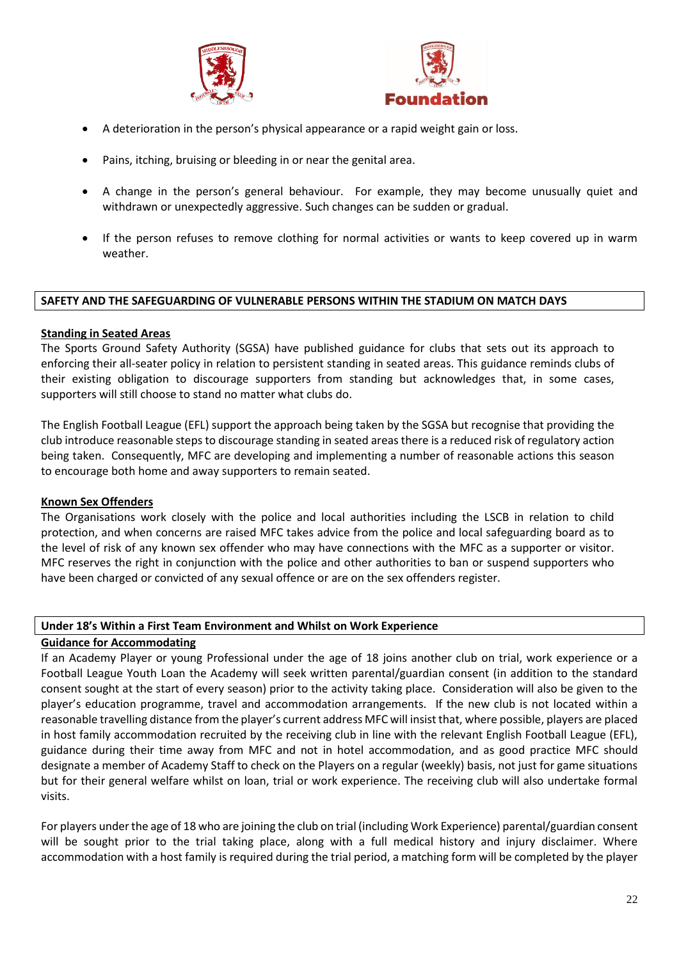



- A deterioration in the person's physical appearance or a rapid weight gain or loss.
- Pains, itching, bruising or bleeding in or near the genital area.
- A change in the person's general behaviour. For example, they may become unusually quiet and withdrawn or unexpectedly aggressive. Such changes can be sudden or gradual.
- If the person refuses to remove clothing for normal activities or wants to keep covered up in warm weather.

#### **SAFETY AND THE SAFEGUARDING OF VULNERABLE PERSONS WITHIN THE STADIUM ON MATCH DAYS**

#### **Standing in Seated Areas**

The Sports Ground Safety Authority (SGSA) have published guidance for clubs that sets out its approach to enforcing their all-seater policy in relation to persistent standing in seated areas. This guidance reminds clubs of their existing obligation to discourage supporters from standing but acknowledges that, in some cases, supporters will still choose to stand no matter what clubs do.

The English Football League (EFL) support the approach being taken by the SGSA but recognise that providing the club introduce reasonable steps to discourage standing in seated areas there is a reduced risk of regulatory action being taken. Consequently, MFC are developing and implementing a number of reasonable actions this season to encourage both home and away supporters to remain seated.

#### **Known Sex Offenders**

The Organisations work closely with the police and local authorities including the LSCB in relation to child protection, and when concerns are raised MFC takes advice from the police and local safeguarding board as to the level of risk of any known sex offender who may have connections with the MFC as a supporter or visitor. MFC reserves the right in conjunction with the police and other authorities to ban or suspend supporters who have been charged or convicted of any sexual offence or are on the sex offenders register.

#### **Under 18's Within a First Team Environment and Whilst on Work Experience**

### **Guidance for Accommodating**

If an Academy Player or young Professional under the age of 18 joins another club on trial, work experience or a Football League Youth Loan the Academy will seek written parental/guardian consent (in addition to the standard consent sought at the start of every season) prior to the activity taking place. Consideration will also be given to the player's education programme, travel and accommodation arrangements. If the new club is not located within a reasonable travelling distance from the player's current address MFC will insist that, where possible, players are placed in host family accommodation recruited by the receiving club in line with the relevant English Football League (EFL), guidance during their time away from MFC and not in hotel accommodation, and as good practice MFC should designate a member of Academy Staff to check on the Players on a regular (weekly) basis, not just for game situations but for their general welfare whilst on loan, trial or work experience. The receiving club will also undertake formal visits.

For players under the age of 18 who are joining the club on trial (including Work Experience) parental/guardian consent will be sought prior to the trial taking place, along with a full medical history and injury disclaimer. Where accommodation with a host family is required during the trial period, a matching form will be completed by the player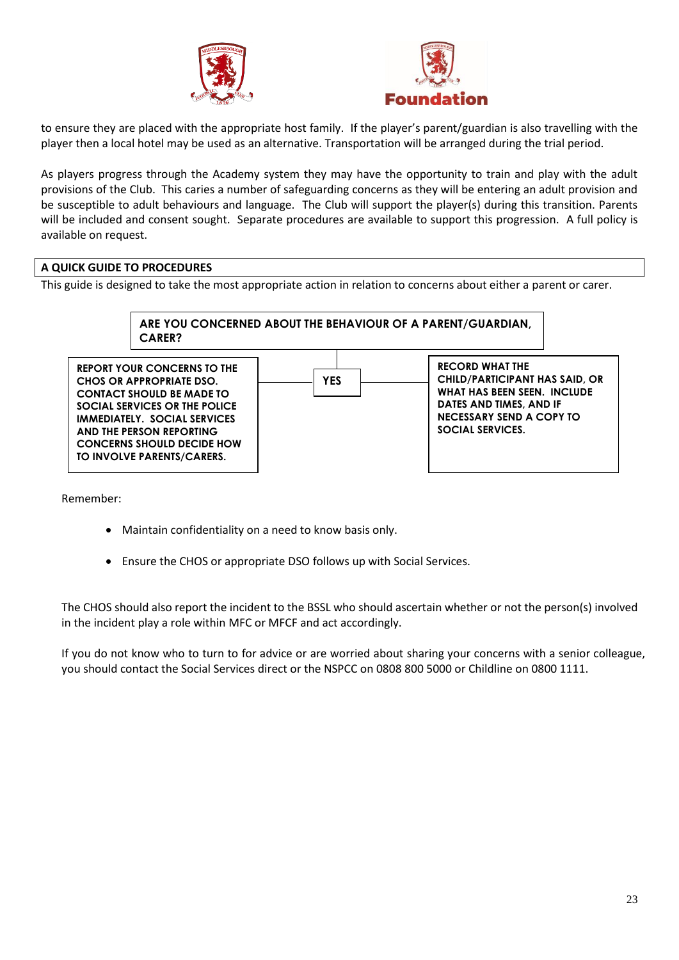



to ensure they are placed with the appropriate host family. If the player's parent/guardian is also travelling with the player then a local hotel may be used as an alternative. Transportation will be arranged during the trial period.

As players progress through the Academy system they may have the opportunity to train and play with the adult provisions of the Club. This caries a number of safeguarding concerns as they will be entering an adult provision and be susceptible to adult behaviours and language. The Club will support the player(s) during this transition. Parents will be included and consent sought. Separate procedures are available to support this progression. A full policy is available on request.

# **A QUICK GUIDE TO PROCEDURES**

This guide is designed to take the most appropriate action in relation to concerns about either a parent or carer.



Remember:

- Maintain confidentiality on a need to know basis only.
- Ensure the CHOS or appropriate DSO follows up with Social Services.

The CHOS should also report the incident to the BSSL who should ascertain whether or not the person(s) involved in the incident play a role within MFC or MFCF and act accordingly.

If you do not know who to turn to for advice or are worried about sharing your concerns with a senior colleague, you should contact the Social Services direct or the NSPCC on 0808 800 5000 or Childline on 0800 1111.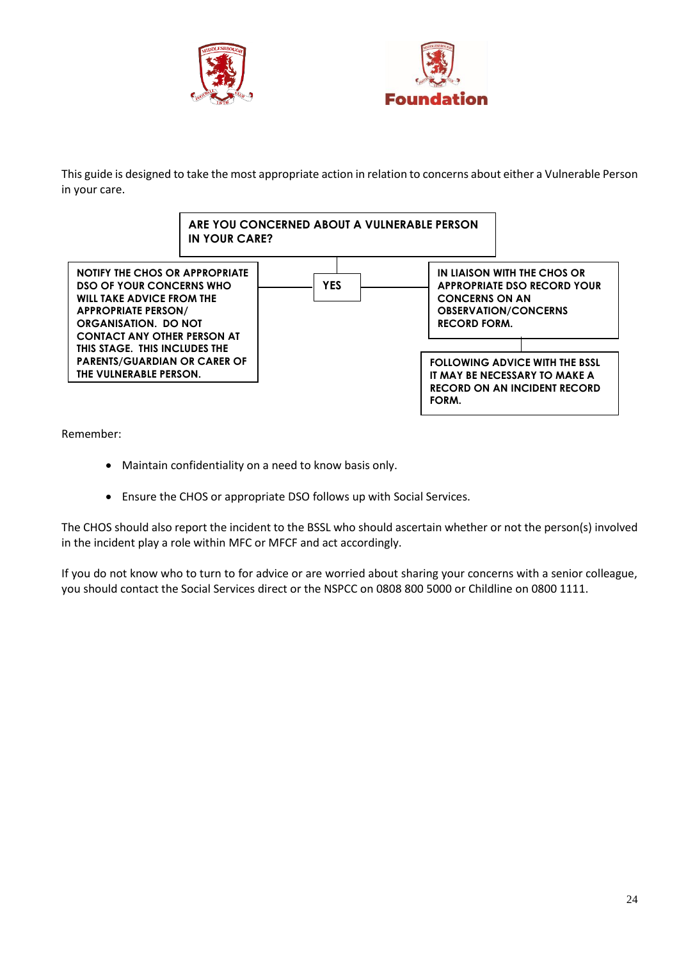



This guide is designed to take the most appropriate action in relation to concerns about either a Vulnerable Person in your care.



Remember:

- Maintain confidentiality on a need to know basis only.
- Ensure the CHOS or appropriate DSO follows up with Social Services.

The CHOS should also report the incident to the BSSL who should ascertain whether or not the person(s) involved in the incident play a role within MFC or MFCF and act accordingly.

If you do not know who to turn to for advice or are worried about sharing your concerns with a senior colleague, you should contact the Social Services direct or the NSPCC on 0808 800 5000 or Childline on 0800 1111.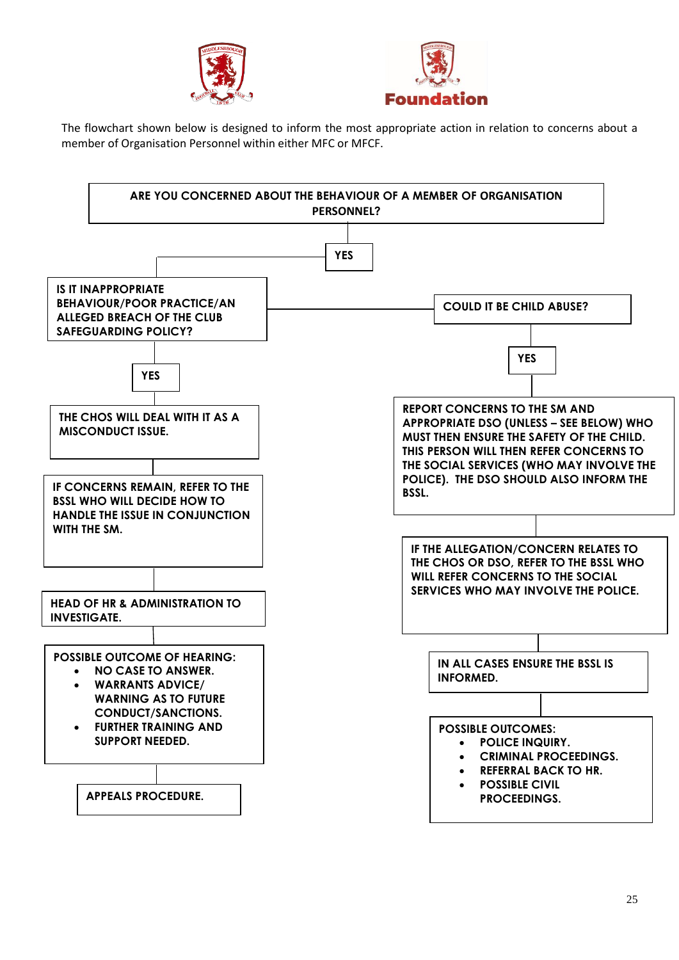



The flowchart shown below is designed to inform the most appropriate action in relation to concerns about a member of Organisation Personnel within either MFC or MFCF.

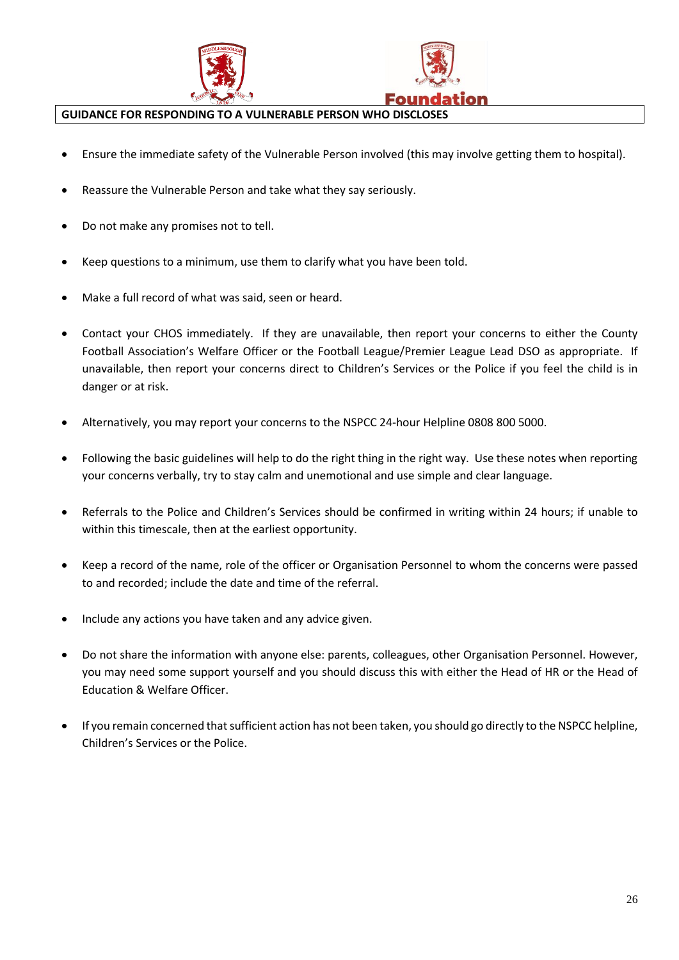



### **GUIDANCE FOR RESPONDING TO A VULNERABLE PERSON WHO DISCLOSES**

- Ensure the immediate safety of the Vulnerable Person involved (this may involve getting them to hospital).
- Reassure the Vulnerable Person and take what they say seriously.
- Do not make any promises not to tell.
- Keep questions to a minimum, use them to clarify what you have been told.
- Make a full record of what was said, seen or heard.
- Contact your CHOS immediately. If they are unavailable, then report your concerns to either the County Football Association's Welfare Officer or the Football League/Premier League Lead DSO as appropriate. If unavailable, then report your concerns direct to Children's Services or the Police if you feel the child is in danger or at risk.
- Alternatively, you may report your concerns to the NSPCC 24-hour Helpline 0808 800 5000.
- Following the basic guidelines will help to do the right thing in the right way. Use these notes when reporting your concerns verbally, try to stay calm and unemotional and use simple and clear language.
- Referrals to the Police and Children's Services should be confirmed in writing within 24 hours; if unable to within this timescale, then at the earliest opportunity.
- Keep a record of the name, role of the officer or Organisation Personnel to whom the concerns were passed to and recorded; include the date and time of the referral.
- Include any actions you have taken and any advice given.
- Do not share the information with anyone else: parents, colleagues, other Organisation Personnel. However, you may need some support yourself and you should discuss this with either the Head of HR or the Head of Education & Welfare Officer.
- If you remain concerned that sufficient action has not been taken, you should go directly to the NSPCC helpline, Children's Services or the Police.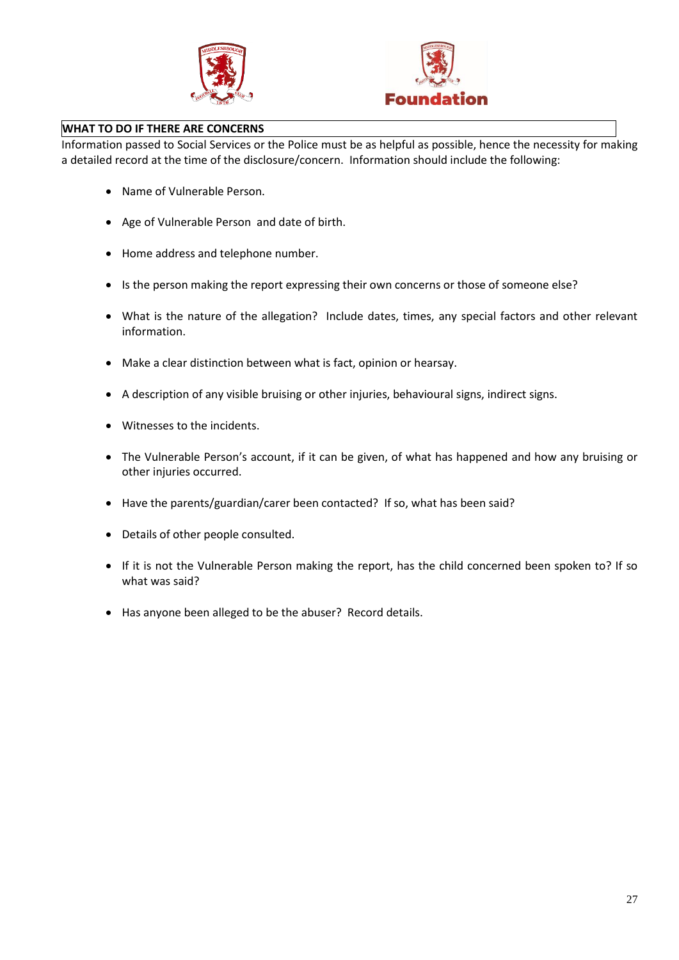



## **WHAT TO DO IF THERE ARE CONCERNS**

Information passed to Social Services or the Police must be as helpful as possible, hence the necessity for making a detailed record at the time of the disclosure/concern. Information should include the following:

- Name of Vulnerable Person.
- Age of Vulnerable Person and date of birth.
- Home address and telephone number.
- Is the person making the report expressing their own concerns or those of someone else?
- What is the nature of the allegation? Include dates, times, any special factors and other relevant information.
- Make a clear distinction between what is fact, opinion or hearsay.
- A description of any visible bruising or other injuries, behavioural signs, indirect signs.
- Witnesses to the incidents.
- The Vulnerable Person's account, if it can be given, of what has happened and how any bruising or other injuries occurred.
- Have the parents/guardian/carer been contacted? If so, what has been said?
- Details of other people consulted.
- If it is not the Vulnerable Person making the report, has the child concerned been spoken to? If so what was said?
- Has anyone been alleged to be the abuser? Record details.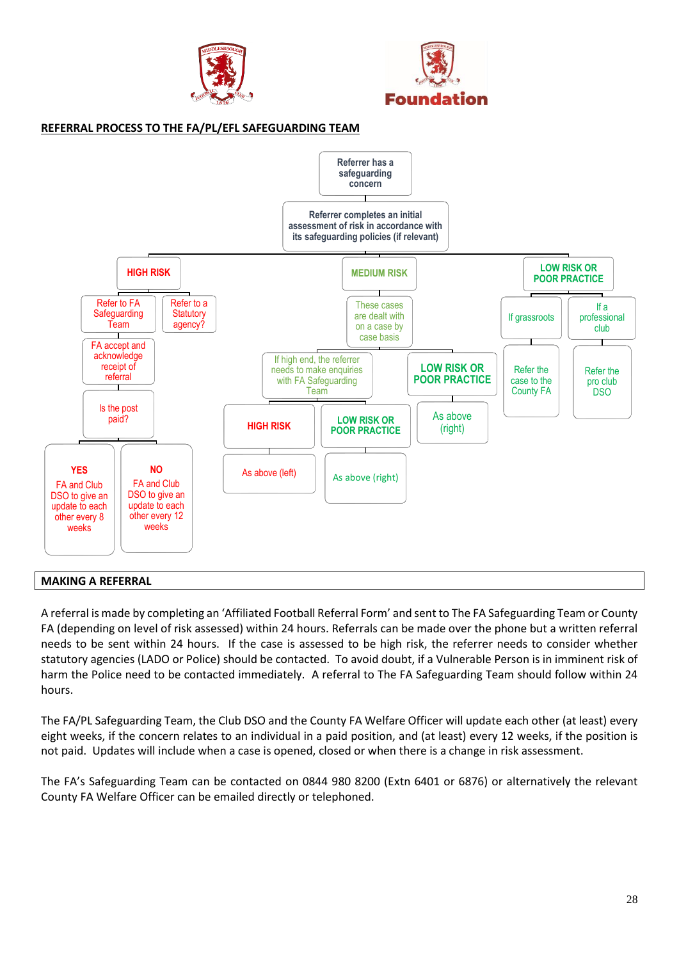



## **REFERRAL PROCESS TO THE FA/PL/EFL SAFEGUARDING TEAM**



### **MAKING A REFERRAL**

A referral is made by completing an 'Affiliated Football Referral Form' and sent to The FA Safeguarding Team or County FA (depending on level of risk assessed) within 24 hours. Referrals can be made over the phone but a written referral needs to be sent within 24 hours. If the case is assessed to be high risk, the referrer needs to consider whether statutory agencies (LADO or Police) should be contacted. To avoid doubt, if a Vulnerable Person is in imminent risk of harm the Police need to be contacted immediately. A referral to The FA Safeguarding Team should follow within 24 hours.

The FA/PL Safeguarding Team, the Club DSO and the County FA Welfare Officer will update each other (at least) every eight weeks, if the concern relates to an individual in a paid position, and (at least) every 12 weeks, if the position is not paid. Updates will include when a case is opened, closed or when there is a change in risk assessment.

The FA's Safeguarding Team can be contacted on 0844 980 8200 (Extn 6401 or 6876) or alternatively the relevant County FA Welfare Officer can be emailed directly or telephoned.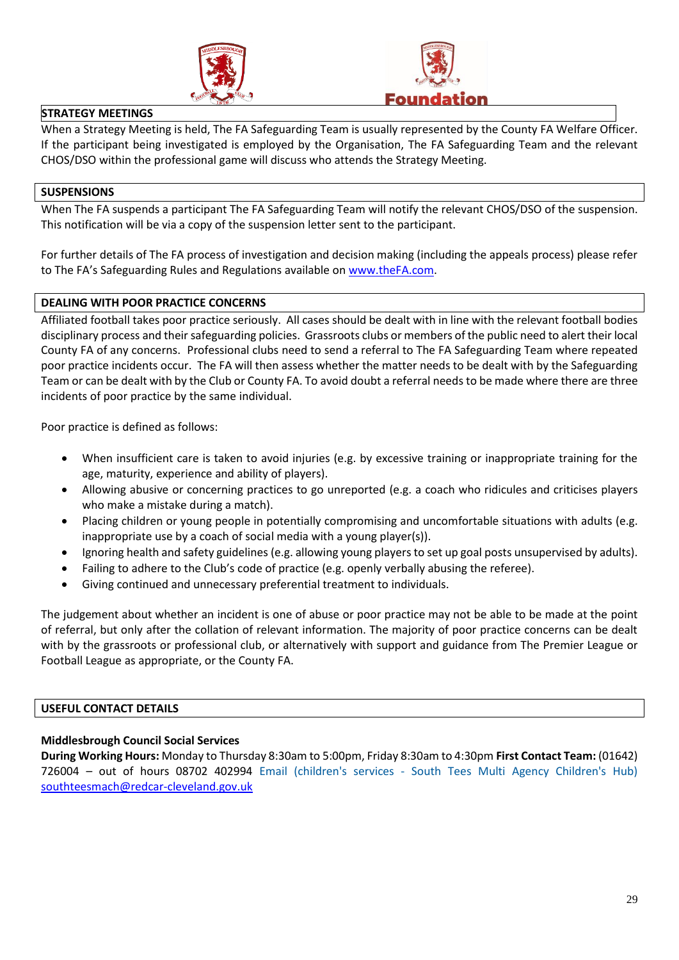



### **STRATEGY MEETINGS**

When a Strategy Meeting is held, The FA Safeguarding Team is usually represented by the County FA Welfare Officer. If the participant being investigated is employed by the Organisation, The FA Safeguarding Team and the relevant CHOS/DSO within the professional game will discuss who attends the Strategy Meeting.

### **SUSPENSIONS**

When The FA suspends a participant The FA Safeguarding Team will notify the relevant CHOS/DSO of the suspension. This notification will be via a copy of the suspension letter sent to the participant.

For further details of The FA process of investigation and decision making (including the appeals process) please refer to The FA's Safeguarding Rules and Regulations available on [www.theFA.com.](http://www.thefa.com/)

## **DEALING WITH POOR PRACTICE CONCERNS**

Affiliated football takes poor practice seriously. All cases should be dealt with in line with the relevant football bodies disciplinary process and their safeguarding policies. Grassroots clubs or members of the public need to alert their local County FA of any concerns. Professional clubs need to send a referral to The FA Safeguarding Team where repeated poor practice incidents occur. The FA will then assess whether the matter needs to be dealt with by the Safeguarding Team or can be dealt with by the Club or County FA. To avoid doubt a referral needs to be made where there are three incidents of poor practice by the same individual.

Poor practice is defined as follows:

- When insufficient care is taken to avoid injuries (e.g. by excessive training or inappropriate training for the age, maturity, experience and ability of players).
- Allowing abusive or concerning practices to go unreported (e.g. a coach who ridicules and criticises players who make a mistake during a match).
- Placing children or young people in potentially compromising and uncomfortable situations with adults (e.g. inappropriate use by a coach of social media with a young player(s)).
- Ignoring health and safety guidelines (e.g. allowing young players to set up goal posts unsupervised by adults).
- Failing to adhere to the Club's code of practice (e.g. openly verbally abusing the referee).
- Giving continued and unnecessary preferential treatment to individuals.

The judgement about whether an incident is one of abuse or poor practice may not be able to be made at the point of referral, but only after the collation of relevant information. The majority of poor practice concerns can be dealt with by the grassroots or professional club, or alternatively with support and guidance from The Premier League or Football League as appropriate, or the County FA.

### **USEFUL CONTACT DETAILS**

### **Middlesbrough Council Social Services**

**During Working Hours:** Monday to Thursday 8:30am to 5:00pm, Friday 8:30am to 4:30pm **First Contact Team:** (01642) 726004 – out of hours 08702 402994 Email (children's services - South Tees Multi Agency Children's Hub) [southteesmach@redcar-cleveland.gov.uk](mailto:southteesmach@redcar-cleveland.gov.uk)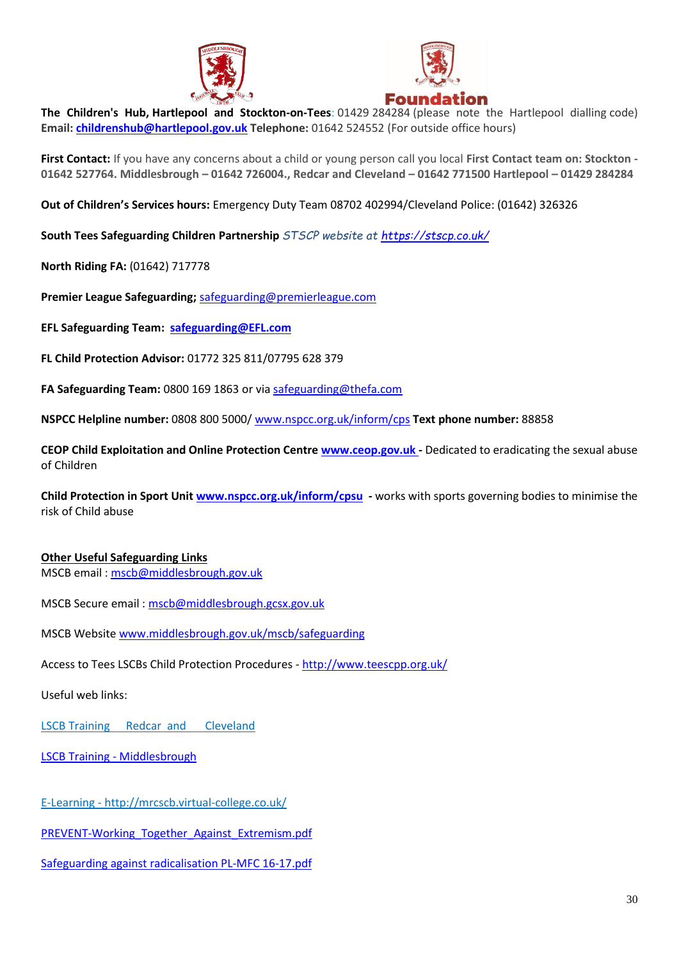



**The Children's Hub, Hartlepool and Stockton-on-Tees**: 01429 284284 (please note the Hartlepool dialling code) **Email: [childrenshub@hartlepool.gov.uk](mailto:childrenshub@hartlepool.gov.uk) Telephone:** 01642 524552 (For outside office hours)

**First Contact:** If you have any concerns about a child or young person call you local **First Contact team on: Stockton - 01642 527764. Middlesbrough – 01642 726004., Redcar and Cleveland – 01642 771500 Hartlepool – 01429 284284**

**Out of Children's Services hours:** Emergency Duty Team 08702 402994/Cleveland Police: (01642) 326326

**South Tees Safeguarding Children Partnership** *STSCP website at<https://stscp.co.uk/>*

**North Riding FA:** (01642) 717778

**Premier League Safeguarding;** [safeguarding@premierleague.com](mailto:safeguarding@premierleague.com)

**EFL Safeguarding Team: [safeguarding@EFL.com](mailto:safeguarding@EFL.com)**

**FL Child Protection Advisor:** 01772 325 811/07795 628 379

**FA Safeguarding Team:** 0800 169 1863 or vi[a safeguarding@thefa.com](mailto:safeguarding@thefa.com)

**NSPCC Helpline number:** 0808 800 5000/ [www.nspcc.org.uk/inform/cps](http://www.nspcc.org.uk/inform/cps) **Text phone number:** 88858

**CEOP Child Exploitation and Online Protection Centr[e www.ceop.gov.uk](http://www.ceop.gov.uk/) -** Dedicated to eradicating the sexual abuse of Children

**Child Protection in Sport Unit [www.nspcc.org.uk/inform/cpsu](http://www.nspcc.org.uk/inform/cpsu) -** works with sports governing bodies to minimise the risk of Child abuse

### **Other Useful Safeguarding Links**

MSCB email : [mscb@middlesbrough.gov.uk](file:///C:/Users/brian.robinson/AppData/Local/Microsoft/Windows/Temporary%20Internet%20Files/Content.Outlook/0LBVHHMN/mscb@middlesbrough.gov.uk)

MSCB Secure email : [mscb@middlesbrough.gcsx.gov.uk](file:///C:/Users/brian.robinson/AppData/Local/Microsoft/Windows/Temporary%20Internet%20Files/Content.Outlook/0LBVHHMN/mscb@middlesbrough.gcsx.gov.uk)

MSCB Website [www.middlesbrough.gov.uk/mscb/safeguarding](http://www.middlesbrough.gov.uk/mscb/safeguarding)

Access to Tees LSCBs Child Protection Procedures - <http://www.teescpp.org.uk/>

Useful web links:

LSCB Training Redcar and [Cleveland](http://www.redcar-cleveland.gov.uk/safeguarding.nsf/Web?ReadForm&id=0A87FDF5E54CEF49802576E10033D4CE)

LSCB Training - [Middlesbrough](https://www.middlesbrough.gov.uk/social-care-and-wellbeing/safeguarding/safeguarding-children-and-young-people/middlesbrough-safeguarding-children-board-mscb/safeguarding-training)

E-Learning - <http://mrcscb.virtual-college.co.uk/>

PREVENT-Working Together Against Extremism.pdf

Safeguarding against [radicalisation PL-MFC 16-17.pdf](file:///C:/Users/brian.robinson/AppData/Local/Microsoft/Windows/Temporary%20Internet%20Files/Content.Outlook/0LBVHHMN/Safeguarding_against_radicalisation%20PL-MFC%2016-17.pdf)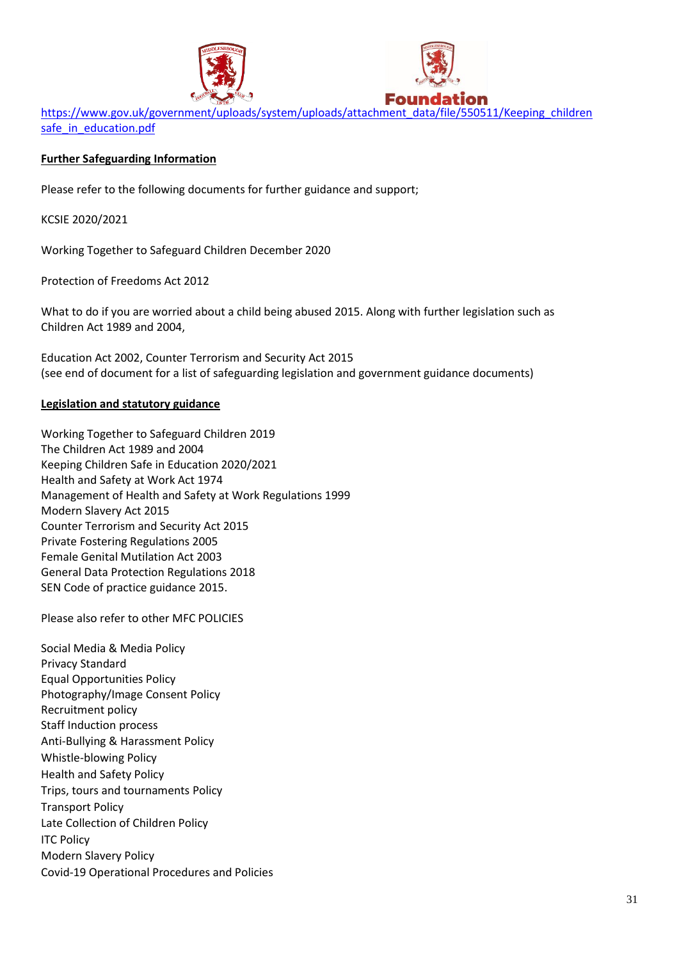



[https://www.gov.uk/government/uploads/system/uploads/attachment\\_data/file/550511/Keeping\\_children](https://www.gov.uk/government/uploads/system/uploads/attachment_data/file/550511/Keeping_children%20safe_in_education.pdf)  [safe\\_in\\_education.pdf](https://www.gov.uk/government/uploads/system/uploads/attachment_data/file/550511/Keeping_children%20safe_in_education.pdf)

# **Further Safeguarding Information**

Please refer to the following documents for further guidance and support;

KCSIE 2020/2021

Working Together to Safeguard Children December 2020

Protection of Freedoms Act 2012

What to do if you are worried about a child being abused 2015. Along with further legislation such as Children Act 1989 and 2004,

Education Act 2002, Counter Terrorism and Security Act 2015 (see end of document for a list of safeguarding legislation and government guidance documents)

# **Legislation and statutory guidance**

Working Together to Safeguard Children 2019 The Children Act 1989 and 2004 Keeping Children Safe in Education 2020/2021 Health and Safety at Work Act 1974 Management of Health and Safety at Work Regulations 1999 Modern Slavery Act 2015 Counter Terrorism and Security Act 2015 Private Fostering Regulations 2005 Female Genital Mutilation Act 2003 General Data Protection Regulations 2018 SEN Code of practice guidance 2015.

Please also refer to other MFC POLICIES

Social Media & Media Policy Privacy Standard Equal Opportunities Policy Photography/Image Consent Policy Recruitment policy Staff Induction process Anti-Bullying & Harassment Policy Whistle-blowing Policy Health and Safety Policy Trips, tours and tournaments Policy Transport Policy Late Collection of Children Policy **ITC Policy** Modern Slavery Policy Covid-19 Operational Procedures and Policies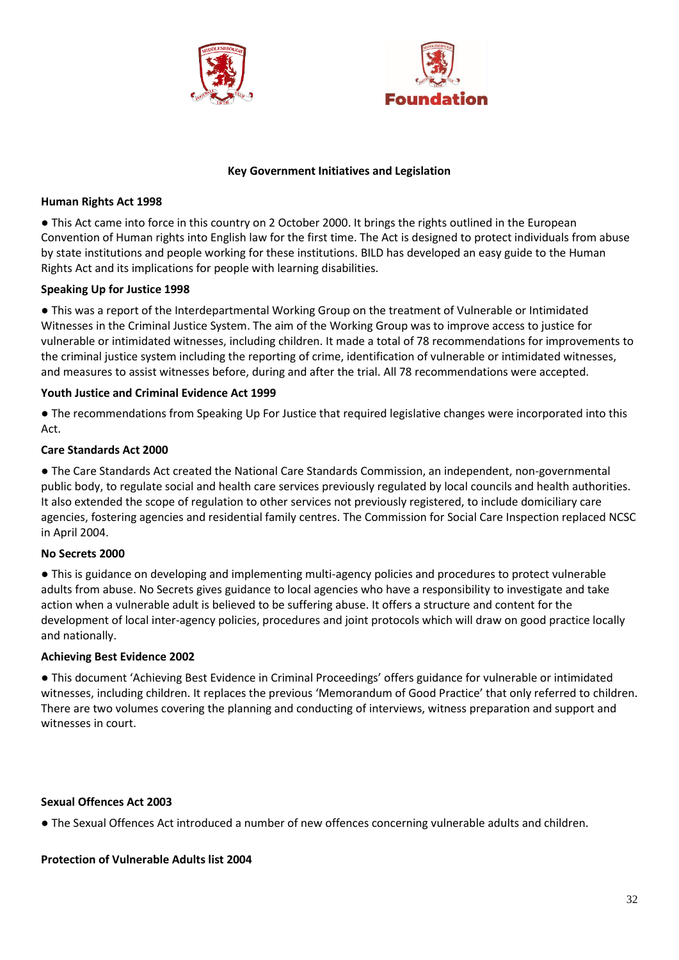



### **Key Government Initiatives and Legislation**

## **Human Rights Act 1998**

● This Act came into force in this country on 2 October 2000. It brings the rights outlined in the European Convention of Human rights into English law for the first time. The Act is designed to protect individuals from abuse by state institutions and people working for these institutions. BILD has developed an easy guide to the Human Rights Act and its implications for people with learning disabilities.

# **Speaking Up for Justice 1998**

● This was a report of the Interdepartmental Working Group on the treatment of Vulnerable or Intimidated Witnesses in the Criminal Justice System. The aim of the Working Group was to improve access to justice for vulnerable or intimidated witnesses, including children. It made a total of 78 recommendations for improvements to the criminal justice system including the reporting of crime, identification of vulnerable or intimidated witnesses, and measures to assist witnesses before, during and after the trial. All 78 recommendations were accepted.

## **Youth Justice and Criminal Evidence Act 1999**

● The recommendations from Speaking Up For Justice that required legislative changes were incorporated into this Act.

## **Care Standards Act 2000**

● The Care Standards Act created the National Care Standards Commission, an independent, non-governmental public body, to regulate social and health care services previously regulated by local councils and health authorities. It also extended the scope of regulation to other services not previously registered, to include domiciliary care agencies, fostering agencies and residential family centres. The Commission for Social Care Inspection replaced NCSC in April 2004.

# **No Secrets 2000**

● This is guidance on developing and implementing multi-agency policies and procedures to protect vulnerable adults from abuse. No Secrets gives guidance to local agencies who have a responsibility to investigate and take action when a vulnerable adult is believed to be suffering abuse. It offers a structure and content for the development of local inter-agency policies, procedures and joint protocols which will draw on good practice locally and nationally.

### **Achieving Best Evidence 2002**

● This document 'Achieving Best Evidence in Criminal Proceedings' offers guidance for vulnerable or intimidated witnesses, including children. It replaces the previous 'Memorandum of Good Practice' that only referred to children. There are two volumes covering the planning and conducting of interviews, witness preparation and support and witnesses in court.

### **Sexual Offences Act 2003**

● The Sexual Offences Act introduced a number of new offences concerning vulnerable adults and children.

### **Protection of Vulnerable Adults list 2004**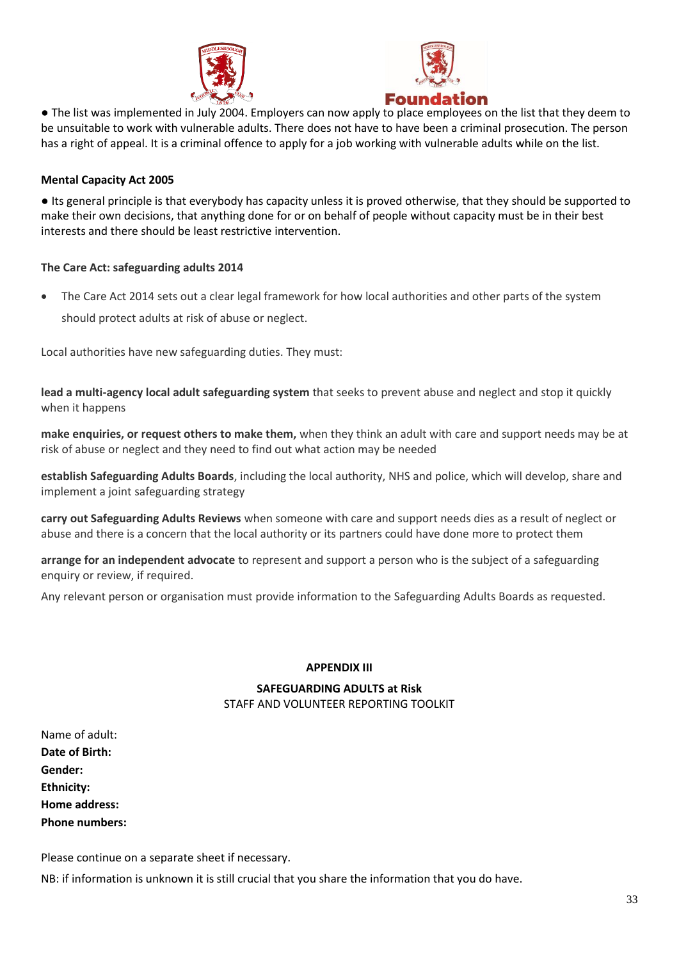



● The list was implemented in July 2004. Employers can now apply to place employees on the list that they deem to be unsuitable to work with vulnerable adults. There does not have to have been a criminal prosecution. The person has a right of appeal. It is a criminal offence to apply for a job working with vulnerable adults while on the list.

## **Mental Capacity Act 2005**

● Its general principle is that everybody has capacity unless it is proved otherwise, that they should be supported to make their own decisions, that anything done for or on behalf of people without capacity must be in their best interests and there should be least restrictive intervention.

## **The Care Act: safeguarding adults 2014**

• The Care Act 2014 sets out a clear legal framework for how local authorities and other parts of the system should protect adults at risk of abuse or neglect.

Local authorities have new safeguarding duties. They must:

**lead a multi-agency local adult safeguarding system** that seeks to prevent abuse and neglect and stop it quickly when it happens

**make enquiries, or request others to make them,** when they think an adult with care and support needs may be at risk of abuse or neglect and they need to find out what action may be needed

**establish Safeguarding Adults Boards**, including the local authority, NHS and police, which will develop, share and implement a joint safeguarding strategy

**carry out Safeguarding Adults Reviews** when someone with care and support needs dies as a result of neglect or abuse and there is a concern that the local authority or its partners could have done more to protect them

**arrange for an independent advocate** to represent and support a person who is the subject of a safeguarding enquiry or review, if required.

Any relevant person or organisation must provide information to the Safeguarding Adults Boards as requested.

### **APPENDIX III**

# **SAFEGUARDING ADULTS at Risk**

### STAFF AND VOLUNTEER REPORTING TOOLKIT

Name of adult: **Date of Birth: Gender: Ethnicity: Home address: Phone numbers:**

Please continue on a separate sheet if necessary.

NB: if information is unknown it is still crucial that you share the information that you do have.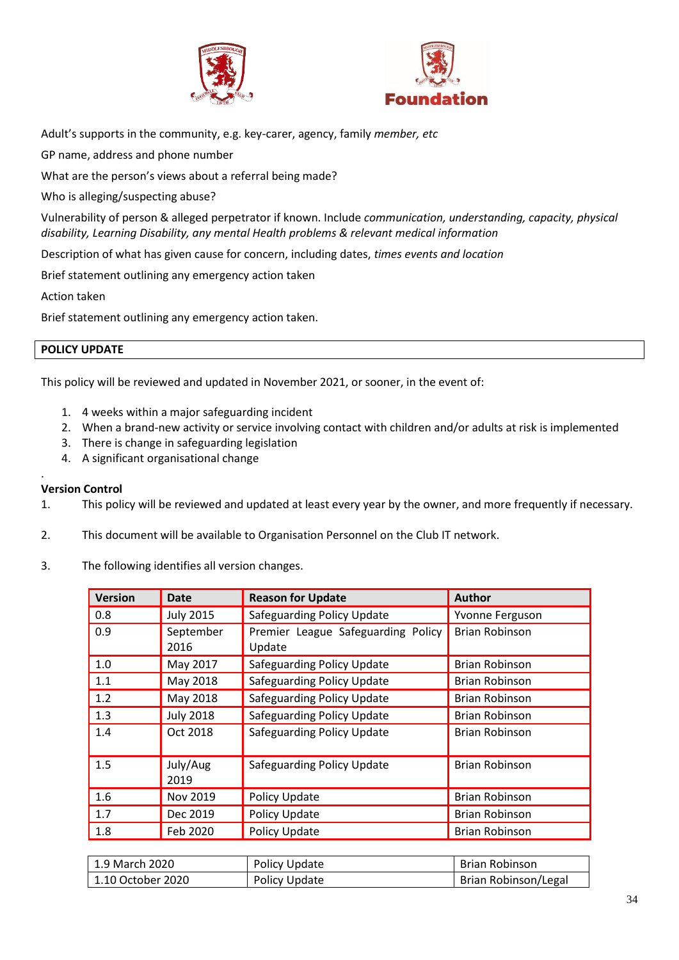



Adult's supports in the community, e.g. key-carer, agency, family *member, etc* 

GP name, address and phone number

What are the person's views about a referral being made?

Who is alleging/suspecting abuse?

Vulnerability of person & alleged perpetrator if known. Include *communication, understanding, capacity, physical disability, Learning Disability, any mental Health problems & relevant medical information* 

Description of what has given cause for concern, including dates, *times events and location*

Brief statement outlining any emergency action taken

Action taken

Brief statement outlining any emergency action taken.

#### **POLICY UPDATE**

This policy will be reviewed and updated in November 2021, or sooner, in the event of:

- 1. 4 weeks within a major safeguarding incident
- 2. When a brand-new activity or service involving contact with children and/or adults at risk is implemented
- 3. There is change in safeguarding legislation
- 4. A significant organisational change

### **Version Control**

.

- 1. This policy will be reviewed and updated at least every year by the owner, and more frequently if necessary.
- 2. This document will be available to Organisation Personnel on the Club IT network.
- 3. The following identifies all version changes.

| <b>Version</b> | <b>Date</b>       | <b>Reason for Update</b>                     | <b>Author</b>         |
|----------------|-------------------|----------------------------------------------|-----------------------|
| 0.8            | <b>July 2015</b>  | <b>Safeguarding Policy Update</b>            | Yvonne Ferguson       |
| 0.9            | September<br>2016 | Premier League Safeguarding Policy<br>Update | <b>Brian Robinson</b> |
| 1.0            | May 2017          | <b>Safeguarding Policy Update</b>            | <b>Brian Robinson</b> |
| 1.1            | May 2018          | <b>Safeguarding Policy Update</b>            | <b>Brian Robinson</b> |
| 1.2            | May 2018          | <b>Safeguarding Policy Update</b>            | <b>Brian Robinson</b> |
| 1.3            | <b>July 2018</b>  | Safeguarding Policy Update                   | <b>Brian Robinson</b> |
| 1.4            | Oct 2018          | <b>Safeguarding Policy Update</b>            | <b>Brian Robinson</b> |
| 1.5            | July/Aug<br>2019  | <b>Safeguarding Policy Update</b>            | <b>Brian Robinson</b> |
| 1.6            | Nov 2019          | Policy Update                                | <b>Brian Robinson</b> |
| 1.7            | Dec 2019          | Policy Update                                | <b>Brian Robinson</b> |
| 1.8            | Feb 2020          | Policy Update                                | <b>Brian Robinson</b> |

| 1.9 March 2020    | Policy Update | Brian Robinson              |
|-------------------|---------------|-----------------------------|
| 1.10 October 2020 | Policy Update | <b>Brian Robinson/Legal</b> |